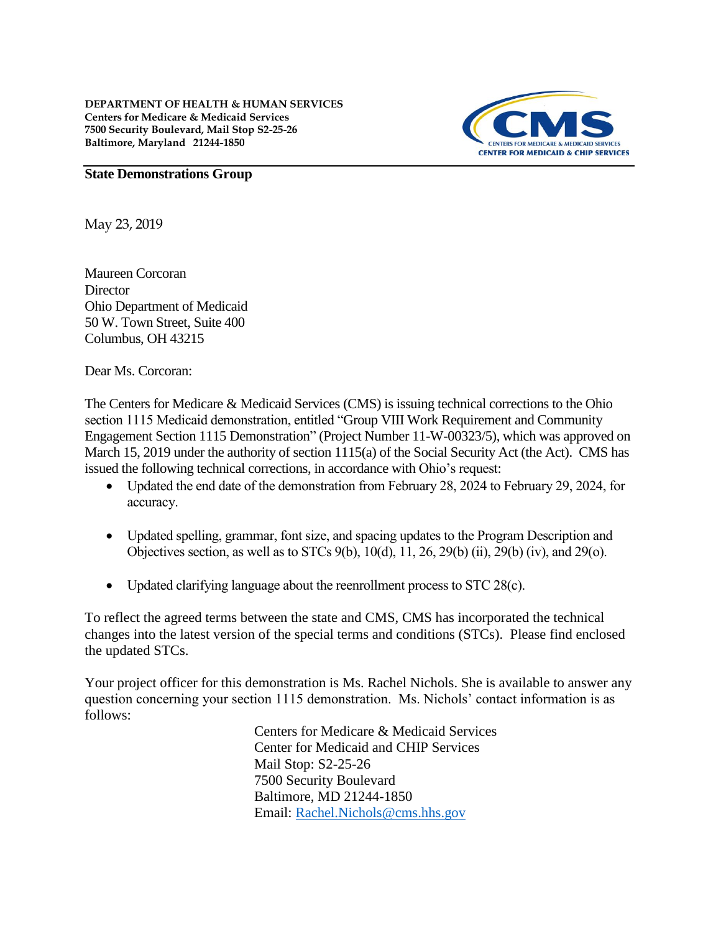

#### **State Demonstrations Group**

May 23, 2019

Maureen Corcoran **Director** Ohio Department of Medicaid 50 W. Town Street, Suite 400 Columbus, OH 43215

Dear Ms. Corcoran:

The Centers for Medicare & Medicaid Services (CMS) is issuing technical corrections to the Ohio section 1115 Medicaid demonstration, entitled "Group VIII Work Requirement and Community Engagement Section 1115 Demonstration" (Project Number 11-W-00323/5), which was approved on March 15, 2019 under the authority of section 1115(a) of the Social Security Act (the Act). CMS has issued the following technical corrections, in accordance with Ohio's request:

- Updated the end date of the demonstration from February 28, 2024 to February 29, 2024, for accuracy.
- Updated spelling, grammar, font size, and spacing updates to the Program Description and Objectives section, as well as to STCs 9(b), 10(d), 11, 26, 29(b) (ii), 29(b) (iv), and 29(o).
- Updated clarifying language about the reenrollment process to STC 28(c).

To reflect the agreed terms between the state and CMS, CMS has incorporated the technical changes into the latest version of the special terms and conditions (STCs). Please find enclosed the updated STCs.

Your project officer for this demonstration is Ms. Rachel Nichols. She is available to answer any question concerning your section 1115 demonstration. Ms. Nichols' contact information is as follows:

> Centers for Medicare & Medicaid Services Center for Medicaid and CHIP Services Mail Stop: S2-25-26 7500 Security Boulevard Baltimore, MD 21244-1850 Email: [Rachel.Nichols@cms.hhs.gov](mailto:Rachel.Nichols@cms.hhs.gov)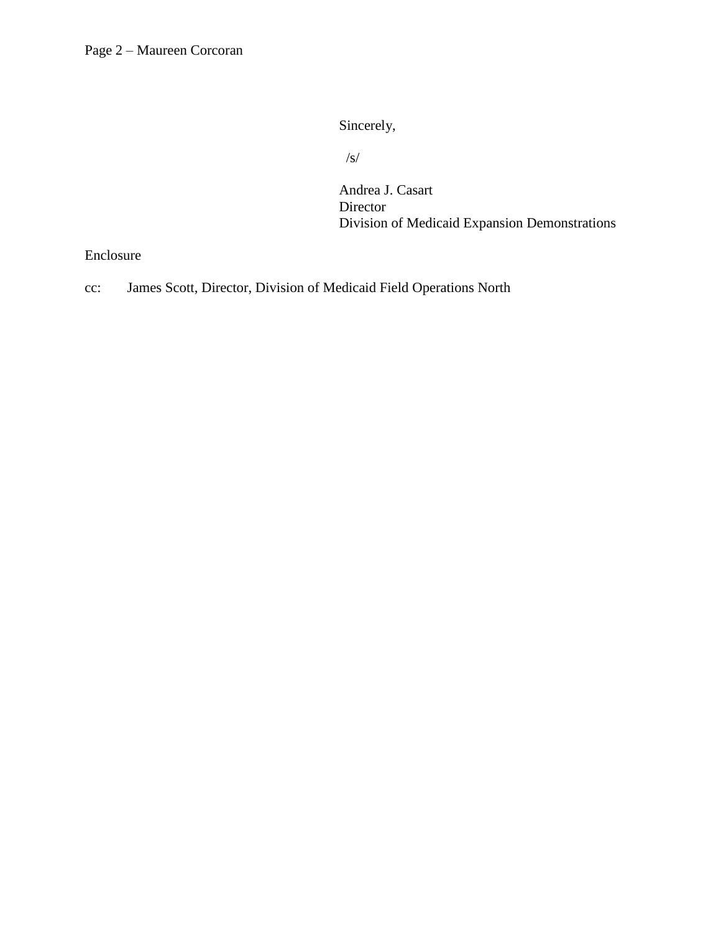Sincerely,

/s/

Andrea J. Casart Director Division of Medicaid Expansion Demonstrations

Enclosure

cc: James Scott, Director, Division of Medicaid Field Operations North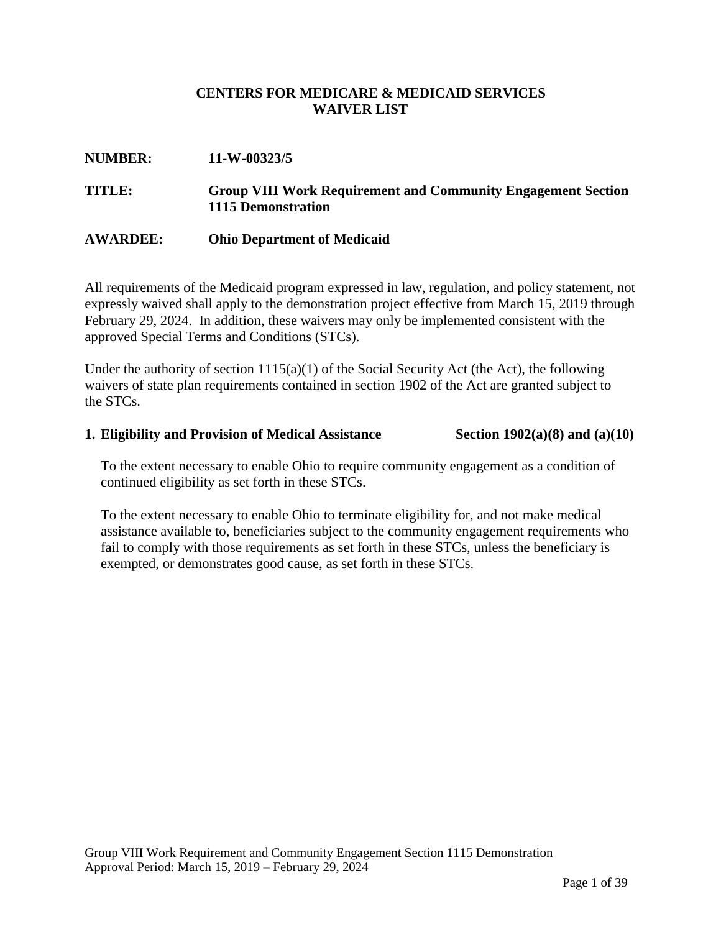### **CENTERS FOR MEDICARE & MEDICAID SERVICES WAIVER LIST**

# **NUMBER: 11-W-00323/5 TITLE: Group VIII Work Requirement and Community Engagement Section 1115 Demonstration**

#### **AWARDEE: Ohio Department of Medicaid**

All requirements of the Medicaid program expressed in law, regulation, and policy statement, not expressly waived shall apply to the demonstration project effective from March 15, 2019 through February 29, 2024. In addition, these waivers may only be implemented consistent with the approved Special Terms and Conditions (STCs).

Under the authority of section  $1115(a)(1)$  of the Social Security Act (the Act), the following waivers of state plan requirements contained in section 1902 of the Act are granted subject to the STCs.

#### **1. Eligibility and Provision of Medical Assistance Section 1902(a)(8) and (a)(10)**

To the extent necessary to enable Ohio to require community engagement as a condition of continued eligibility as set forth in these STCs.

To the extent necessary to enable Ohio to terminate eligibility for, and not make medical assistance available to, beneficiaries subject to the community engagement requirements who fail to comply with those requirements as set forth in these STCs, unless the beneficiary is exempted, or demonstrates good cause, as set forth in these STCs.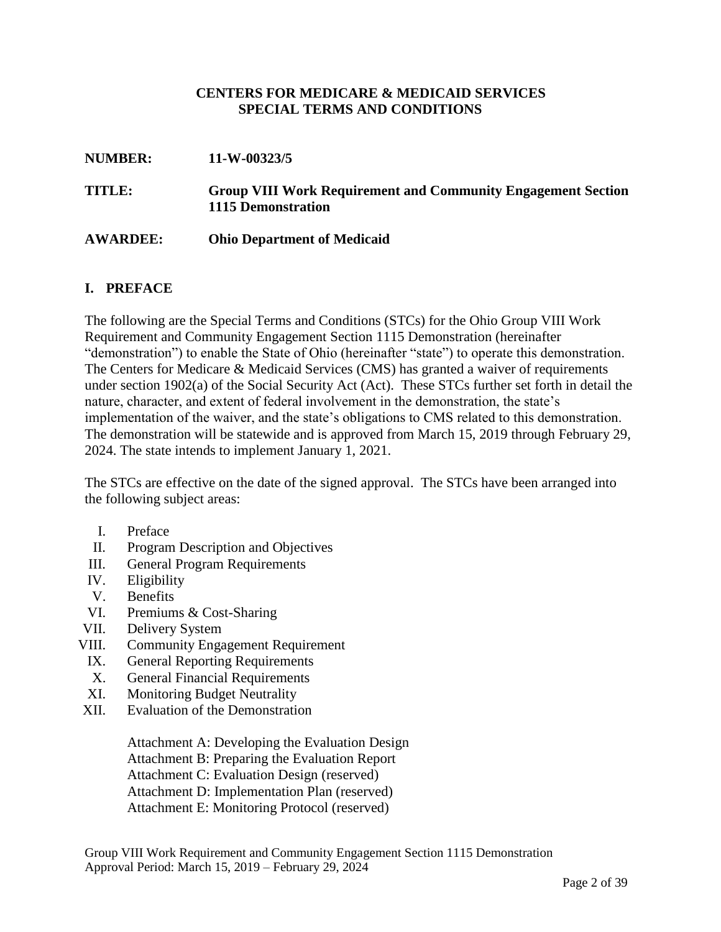#### **CENTERS FOR MEDICARE & MEDICAID SERVICES SPECIAL TERMS AND CONDITIONS**

| <b>NUMBER:</b>  | 11-W-00323/5                                                                                     |  |  |
|-----------------|--------------------------------------------------------------------------------------------------|--|--|
| TITLE:          | <b>Group VIII Work Requirement and Community Engagement Section</b><br><b>1115 Demonstration</b> |  |  |
| <b>AWARDEE:</b> | <b>Ohio Department of Medicaid</b>                                                               |  |  |

#### **I. PREFACE**

The following are the Special Terms and Conditions (STCs) for the Ohio Group VIII Work Requirement and Community Engagement Section 1115 Demonstration (hereinafter "demonstration") to enable the State of Ohio (hereinafter "state") to operate this demonstration. The Centers for Medicare & Medicaid Services (CMS) has granted a waiver of requirements under section 1902(a) of the Social Security Act (Act). These STCs further set forth in detail the nature, character, and extent of federal involvement in the demonstration, the state's implementation of the waiver, and the state's obligations to CMS related to this demonstration. The demonstration will be statewide and is approved from March 15, 2019 through February 29, 2024. The state intends to implement January 1, 2021.

The STCs are effective on the date of the signed approval. The STCs have been arranged into the following subject areas:

- I. Preface
- II. Program Description and Objectives
- III. General Program Requirements
- IV. Eligibility
- V. Benefits
- VI. Premiums & Cost-Sharing
- VII. Delivery System
- VIII. Community Engagement Requirement
	- IX. General Reporting Requirements
	- X. General Financial Requirements
	- XI. Monitoring Budget Neutrality
- XII. Evaluation of the Demonstration

Attachment A: Developing the Evaluation Design Attachment B: Preparing the Evaluation Report Attachment C: Evaluation Design (reserved) Attachment D: Implementation Plan (reserved) Attachment E: Monitoring Protocol (reserved)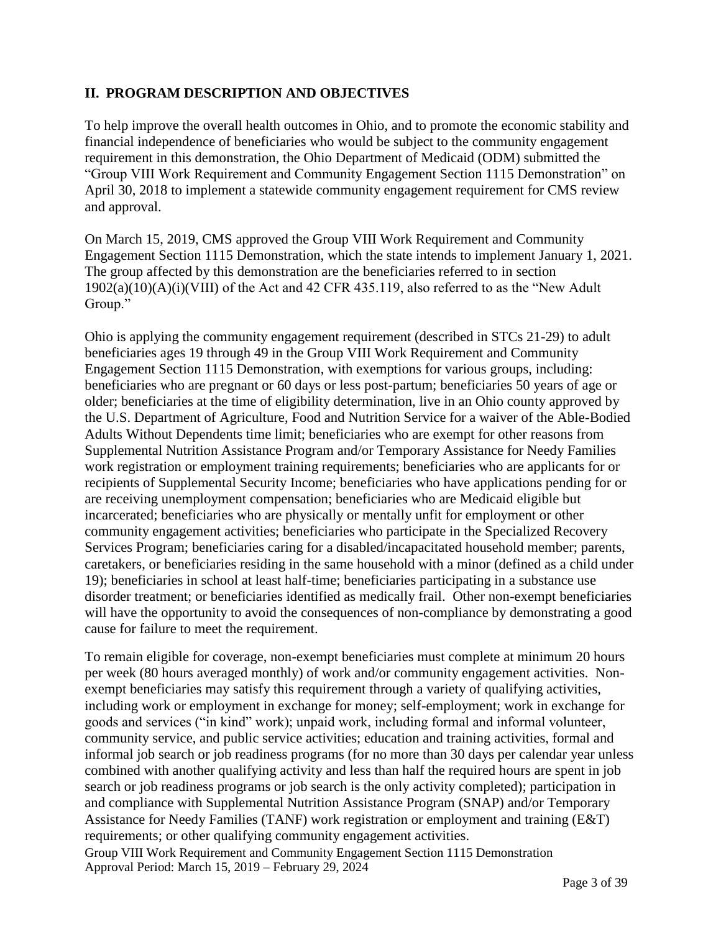## **II. PROGRAM DESCRIPTION AND OBJECTIVES**

To help improve the overall health outcomes in Ohio, and to promote the economic stability and financial independence of beneficiaries who would be subject to the community engagement requirement in this demonstration, the Ohio Department of Medicaid (ODM) submitted the "Group VIII Work Requirement and Community Engagement Section 1115 Demonstration" on April 30, 2018 to implement a statewide community engagement requirement for CMS review and approval.

On March 15, 2019, CMS approved the Group VIII Work Requirement and Community Engagement Section 1115 Demonstration, which the state intends to implement January 1, 2021. The group affected by this demonstration are the beneficiaries referred to in section 1902(a)(10)(A)(i)(VIII) of the Act and 42 CFR 435.119, also referred to as the "New Adult Group."

Ohio is applying the community engagement requirement (described in STCs 21-29) to adult beneficiaries ages 19 through 49 in the Group VIII Work Requirement and Community Engagement Section 1115 Demonstration, with exemptions for various groups, including: beneficiaries who are pregnant or 60 days or less post-partum; beneficiaries 50 years of age or older; beneficiaries at the time of eligibility determination, live in an Ohio county approved by the U.S. Department of Agriculture, Food and Nutrition Service for a waiver of the Able-Bodied Adults Without Dependents time limit; beneficiaries who are exempt for other reasons from Supplemental Nutrition Assistance Program and/or Temporary Assistance for Needy Families work registration or employment training requirements; beneficiaries who are applicants for or recipients of Supplemental Security Income; beneficiaries who have applications pending for or are receiving unemployment compensation; beneficiaries who are Medicaid eligible but incarcerated; beneficiaries who are physically or mentally unfit for employment or other community engagement activities; beneficiaries who participate in the Specialized Recovery Services Program; beneficiaries caring for a disabled/incapacitated household member; parents, caretakers, or beneficiaries residing in the same household with a minor (defined as a child under 19); beneficiaries in school at least half-time; beneficiaries participating in a substance use disorder treatment; or beneficiaries identified as medically frail. Other non-exempt beneficiaries will have the opportunity to avoid the consequences of non-compliance by demonstrating a good cause for failure to meet the requirement.

Group VIII Work Requirement and Community Engagement Section 1115 Demonstration Approval Period: March 15, 2019 – February 29, 2024 To remain eligible for coverage, non-exempt beneficiaries must complete at minimum 20 hours per week (80 hours averaged monthly) of work and/or community engagement activities. Nonexempt beneficiaries may satisfy this requirement through a variety of qualifying activities, including work or employment in exchange for money; self-employment; work in exchange for goods and services ("in kind" work); unpaid work, including formal and informal volunteer, community service, and public service activities; education and training activities, formal and informal job search or job readiness programs (for no more than 30 days per calendar year unless combined with another qualifying activity and less than half the required hours are spent in job search or job readiness programs or job search is the only activity completed); participation in and compliance with Supplemental Nutrition Assistance Program (SNAP) and/or Temporary Assistance for Needy Families (TANF) work registration or employment and training (E&T) requirements; or other qualifying community engagement activities.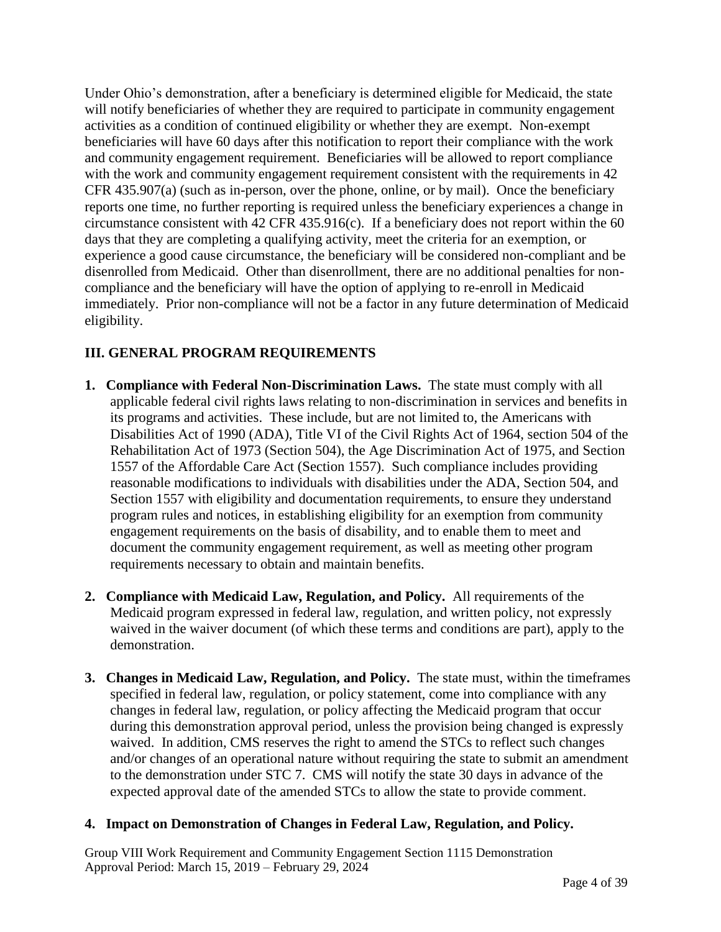Under Ohio's demonstration, after a beneficiary is determined eligible for Medicaid, the state will notify beneficiaries of whether they are required to participate in community engagement activities as a condition of continued eligibility or whether they are exempt. Non-exempt beneficiaries will have 60 days after this notification to report their compliance with the work and community engagement requirement. Beneficiaries will be allowed to report compliance with the work and community engagement requirement consistent with the requirements in 42 CFR 435.907(a) (such as in-person, over the phone, online, or by mail). Once the beneficiary reports one time, no further reporting is required unless the beneficiary experiences a change in circumstance consistent with 42 CFR 435.916(c). If a beneficiary does not report within the 60 days that they are completing a qualifying activity, meet the criteria for an exemption, or experience a good cause circumstance, the beneficiary will be considered non-compliant and be disenrolled from Medicaid. Other than disenrollment, there are no additional penalties for noncompliance and the beneficiary will have the option of applying to re-enroll in Medicaid immediately. Prior non-compliance will not be a factor in any future determination of Medicaid eligibility.

# **III. GENERAL PROGRAM REQUIREMENTS**

- **1. Compliance with Federal Non-Discrimination Laws.** The state must comply with all applicable federal civil rights laws relating to non-discrimination in services and benefits in its programs and activities. These include, but are not limited to, the Americans with Disabilities Act of 1990 (ADA), Title VI of the Civil Rights Act of 1964, section 504 of the Rehabilitation Act of 1973 (Section 504), the Age Discrimination Act of 1975, and Section 1557 of the Affordable Care Act (Section 1557). Such compliance includes providing reasonable modifications to individuals with disabilities under the ADA, Section 504, and Section 1557 with eligibility and documentation requirements, to ensure they understand program rules and notices, in establishing eligibility for an exemption from community engagement requirements on the basis of disability, and to enable them to meet and document the community engagement requirement, as well as meeting other program requirements necessary to obtain and maintain benefits.
- **2. Compliance with Medicaid Law, Regulation, and Policy.** All requirements of the Medicaid program expressed in federal law, regulation, and written policy, not expressly waived in the waiver document (of which these terms and conditions are part), apply to the demonstration.
- **3. Changes in Medicaid Law, Regulation, and Policy.** The state must, within the timeframes specified in federal law, regulation, or policy statement, come into compliance with any changes in federal law, regulation, or policy affecting the Medicaid program that occur during this demonstration approval period, unless the provision being changed is expressly waived. In addition, CMS reserves the right to amend the STCs to reflect such changes and/or changes of an operational nature without requiring the state to submit an amendment to the demonstration under STC 7. CMS will notify the state 30 days in advance of the expected approval date of the amended STCs to allow the state to provide comment.

## **4. Impact on Demonstration of Changes in Federal Law, Regulation, and Policy.**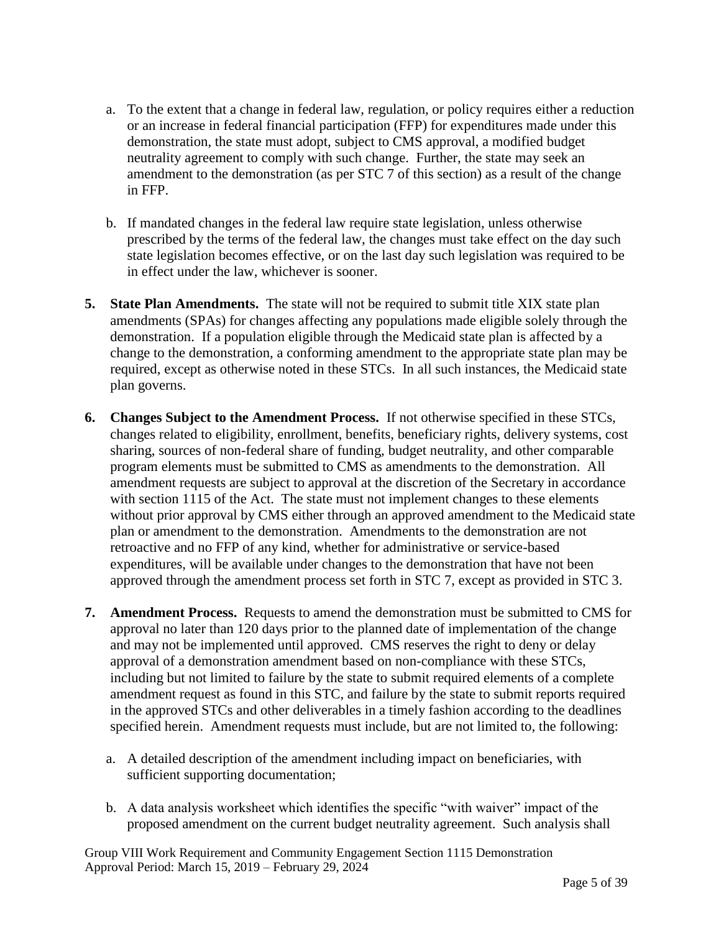- a. To the extent that a change in federal law, regulation, or policy requires either a reduction or an increase in federal financial participation (FFP) for expenditures made under this demonstration, the state must adopt, subject to CMS approval, a modified budget neutrality agreement to comply with such change. Further, the state may seek an amendment to the demonstration (as per STC 7 of this section) as a result of the change in FFP.
- b. If mandated changes in the federal law require state legislation, unless otherwise prescribed by the terms of the federal law, the changes must take effect on the day such state legislation becomes effective, or on the last day such legislation was required to be in effect under the law, whichever is sooner.
- **5. State Plan Amendments.** The state will not be required to submit title XIX state plan amendments (SPAs) for changes affecting any populations made eligible solely through the demonstration.If a population eligible through the Medicaid state plan is affected by a change to the demonstration, a conforming amendment to the appropriate state plan may be required, except as otherwise noted in these STCs. In all such instances, the Medicaid state plan governs.
- **6. Changes Subject to the Amendment Process.** If not otherwise specified in these STCs, changes related to eligibility, enrollment, benefits, beneficiary rights, delivery systems, cost sharing, sources of non-federal share of funding, budget neutrality, and other comparable program elements must be submitted to CMS as amendments to the demonstration. All amendment requests are subject to approval at the discretion of the Secretary in accordance with section 1115 of the Act. The state must not implement changes to these elements without prior approval by CMS either through an approved amendment to the Medicaid state plan or amendment to the demonstration. Amendments to the demonstration are not retroactive and no FFP of any kind, whether for administrative or service-based expenditures, will be available under changes to the demonstration that have not been approved through the amendment process set forth in STC 7, except as provided in STC 3.
- **7. Amendment Process.** Requests to amend the demonstration must be submitted to CMS for approval no later than 120 days prior to the planned date of implementation of the change and may not be implemented until approved. CMS reserves the right to deny or delay approval of a demonstration amendment based on non-compliance with these STCs, including but not limited to failure by the state to submit required elements of a complete amendment request as found in this STC, and failure by the state to submit reports required in the approved STCs and other deliverables in a timely fashion according to the deadlines specified herein. Amendment requests must include, but are not limited to, the following:
	- a. A detailed description of the amendment including impact on beneficiaries, with sufficient supporting documentation;
	- b. A data analysis worksheet which identifies the specific "with waiver" impact of the proposed amendment on the current budget neutrality agreement. Such analysis shall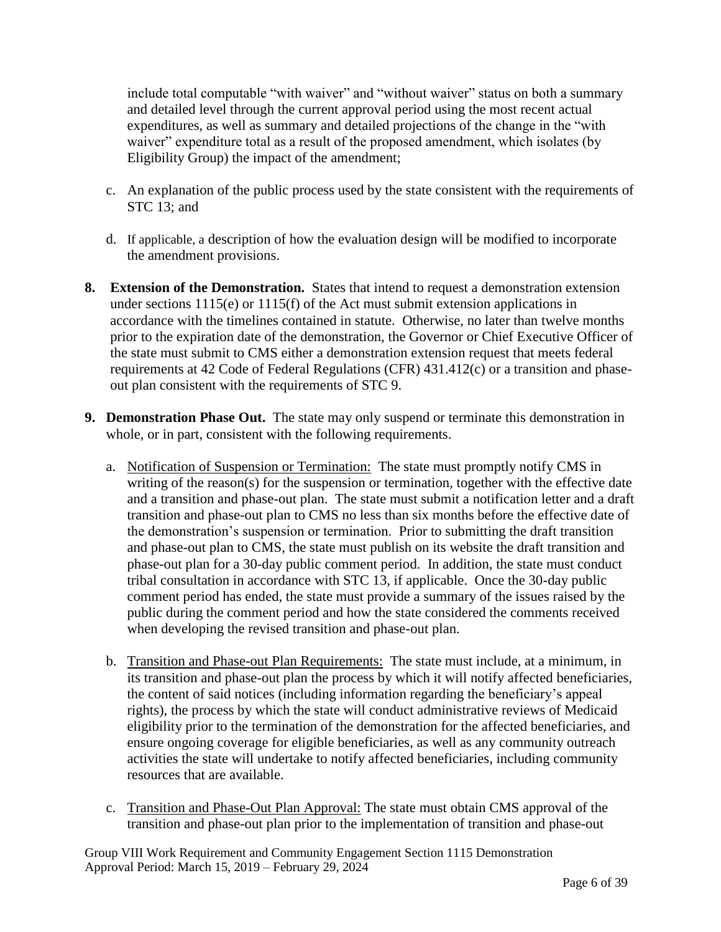include total computable "with waiver" and "without waiver" status on both a summary and detailed level through the current approval period using the most recent actual expenditures, as well as summary and detailed projections of the change in the "with waiver" expenditure total as a result of the proposed amendment, which isolates (by Eligibility Group) the impact of the amendment;

- c. An explanation of the public process used by the state consistent with the requirements of STC 13; and
- d. If applicable, a description of how the evaluation design will be modified to incorporate the amendment provisions.
- **8. Extension of the Demonstration.** States that intend to request a demonstration extension under sections 1115(e) or 1115(f) of the Act must submit extension applications in accordance with the timelines contained in statute. Otherwise, no later than twelve months prior to the expiration date of the demonstration, the Governor or Chief Executive Officer of the state must submit to CMS either a demonstration extension request that meets federal requirements at 42 Code of Federal Regulations (CFR) 431.412(c) or a transition and phaseout plan consistent with the requirements of STC 9.
- **9. Demonstration Phase Out.** The state may only suspend or terminate this demonstration in whole, or in part, consistent with the following requirements.
	- a. Notification of Suspension or Termination:The state must promptly notify CMS in writing of the reason(s) for the suspension or termination, together with the effective date and a transition and phase-out plan. The state must submit a notification letter and a draft transition and phase-out plan to CMS no less than six months before the effective date of the demonstration's suspension or termination. Prior to submitting the draft transition and phase-out plan to CMS, the state must publish on its website the draft transition and phase-out plan for a 30-day public comment period. In addition, the state must conduct tribal consultation in accordance with STC 13, if applicable. Once the 30-day public comment period has ended, the state must provide a summary of the issues raised by the public during the comment period and how the state considered the comments received when developing the revised transition and phase-out plan.
	- b. Transition and Phase-out Plan Requirements: The state must include, at a minimum, in its transition and phase-out plan the process by which it will notify affected beneficiaries, the content of said notices (including information regarding the beneficiary's appeal rights), the process by which the state will conduct administrative reviews of Medicaid eligibility prior to the termination of the demonstration for the affected beneficiaries, and ensure ongoing coverage for eligible beneficiaries, as well as any community outreach activities the state will undertake to notify affected beneficiaries, including community resources that are available.
	- c. Transition and Phase-Out Plan Approval: The state must obtain CMS approval of the transition and phase-out plan prior to the implementation of transition and phase-out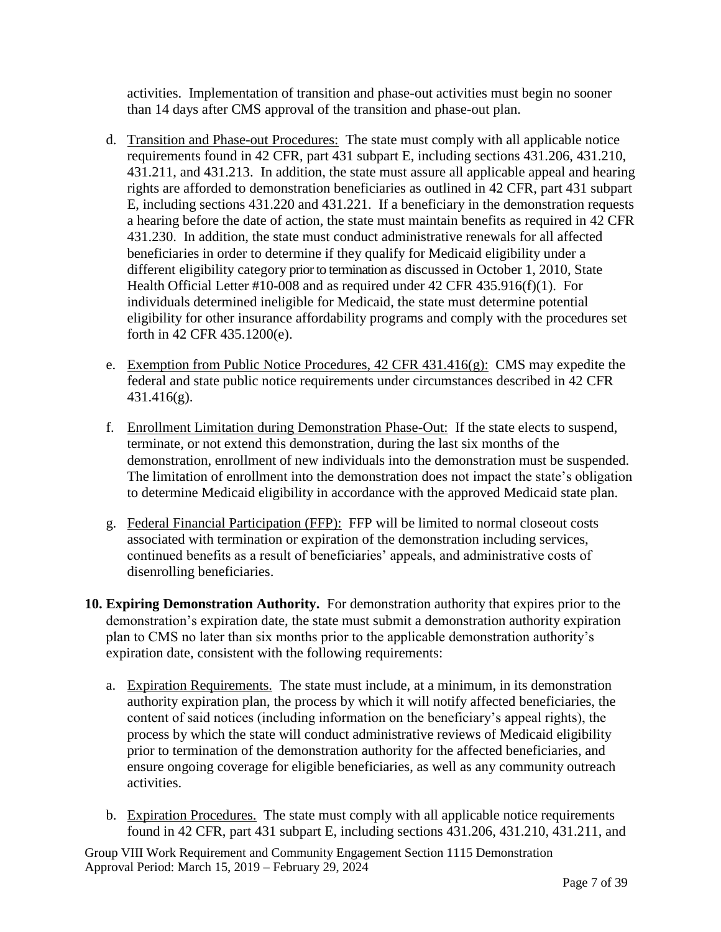activities. Implementation of transition and phase-out activities must begin no sooner than 14 days after CMS approval of the transition and phase-out plan.

- d. Transition and Phase-out Procedures: The state must comply with all applicable notice requirements found in 42 CFR, part 431 subpart E, including sections 431.206, 431.210, 431.211, and 431.213. In addition, the state must assure all applicable appeal and hearing rights are afforded to demonstration beneficiaries as outlined in 42 CFR, part 431 subpart E, including sections 431.220 and 431.221. If a beneficiary in the demonstration requests a hearing before the date of action, the state must maintain benefits as required in 42 CFR 431.230. In addition, the state must conduct administrative renewals for all affected beneficiaries in order to determine if they qualify for Medicaid eligibility under a different eligibility category prior to termination as discussed in October 1, 2010, State Health Official Letter #10-008 and as required under 42 CFR 435.916(f)(1). For individuals determined ineligible for Medicaid, the state must determine potential eligibility for other insurance affordability programs and comply with the procedures set forth in 42 CFR 435.1200(e).
- e. Exemption from Public Notice Procedures, 42 CFR 431.416(g): CMS may expedite the federal and state public notice requirements under circumstances described in 42 CFR 431.416(g).
- f. Enrollment Limitation during Demonstration Phase-Out: If the state elects to suspend, terminate, or not extend this demonstration, during the last six months of the demonstration, enrollment of new individuals into the demonstration must be suspended. The limitation of enrollment into the demonstration does not impact the state's obligation to determine Medicaid eligibility in accordance with the approved Medicaid state plan.
- g. Federal Financial Participation (FFP): FFP will be limited to normal closeout costs associated with termination or expiration of the demonstration including services, continued benefits as a result of beneficiaries' appeals, and administrative costs of disenrolling beneficiaries.
- **10. Expiring Demonstration Authority.** For demonstration authority that expires prior to the demonstration's expiration date, the state must submit a demonstration authority expiration plan to CMS no later than six months prior to the applicable demonstration authority's expiration date, consistent with the following requirements:
	- a. Expiration Requirements. The state must include, at a minimum, in its demonstration authority expiration plan, the process by which it will notify affected beneficiaries, the content of said notices (including information on the beneficiary's appeal rights), the process by which the state will conduct administrative reviews of Medicaid eligibility prior to termination of the demonstration authority for the affected beneficiaries, and ensure ongoing coverage for eligible beneficiaries, as well as any community outreach activities.
	- b. Expiration Procedures. The state must comply with all applicable notice requirements found in 42 CFR, part 431 subpart E, including sections 431.206, 431.210, 431.211, and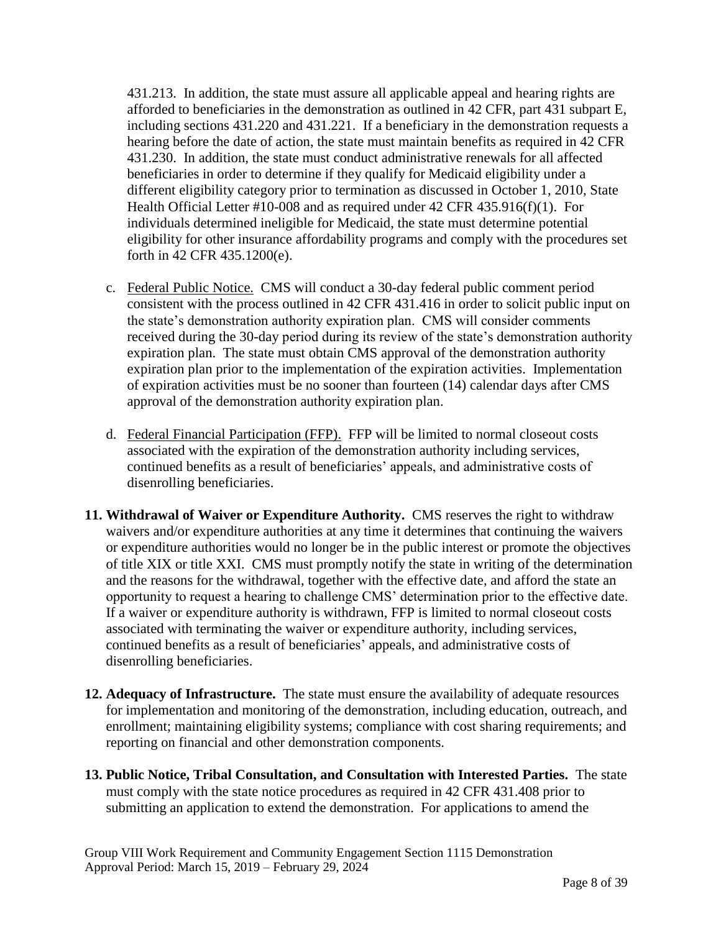431.213. In addition, the state must assure all applicable appeal and hearing rights are afforded to beneficiaries in the demonstration as outlined in 42 CFR, part 431 subpart E, including sections 431.220 and 431.221. If a beneficiary in the demonstration requests a hearing before the date of action, the state must maintain benefits as required in 42 CFR 431.230. In addition, the state must conduct administrative renewals for all affected beneficiaries in order to determine if they qualify for Medicaid eligibility under a different eligibility category prior to termination as discussed in October 1, 2010, State Health Official Letter #10-008 and as required under 42 CFR 435.916(f)(1). For individuals determined ineligible for Medicaid, the state must determine potential eligibility for other insurance affordability programs and comply with the procedures set forth in 42 CFR 435.1200(e).

- c. Federal Public Notice. CMS will conduct a 30-day federal public comment period consistent with the process outlined in 42 CFR 431.416 in order to solicit public input on the state's demonstration authority expiration plan. CMS will consider comments received during the 30-day period during its review of the state's demonstration authority expiration plan. The state must obtain CMS approval of the demonstration authority expiration plan prior to the implementation of the expiration activities. Implementation of expiration activities must be no sooner than fourteen (14) calendar days after CMS approval of the demonstration authority expiration plan.
- d. Federal Financial Participation (FFP). FFP will be limited to normal closeout costs associated with the expiration of the demonstration authority including services, continued benefits as a result of beneficiaries' appeals, and administrative costs of disenrolling beneficiaries.
- **11. Withdrawal of Waiver or Expenditure Authority.** CMS reserves the right to withdraw waivers and/or expenditure authorities at any time it determines that continuing the waivers or expenditure authorities would no longer be in the public interest or promote the objectives of title XIX or title XXI. CMS must promptly notify the state in writing of the determination and the reasons for the withdrawal, together with the effective date, and afford the state an opportunity to request a hearing to challenge CMS' determination prior to the effective date. If a waiver or expenditure authority is withdrawn, FFP is limited to normal closeout costs associated with terminating the waiver or expenditure authority, including services, continued benefits as a result of beneficiaries' appeals, and administrative costs of disenrolling beneficiaries.
- **12. Adequacy of Infrastructure.** The state must ensure the availability of adequate resources for implementation and monitoring of the demonstration, including education, outreach, and enrollment; maintaining eligibility systems; compliance with cost sharing requirements; and reporting on financial and other demonstration components.
- **13. Public Notice, Tribal Consultation, and Consultation with Interested Parties.** The state must comply with the state notice procedures as required in 42 CFR 431.408 prior to submitting an application to extend the demonstration. For applications to amend the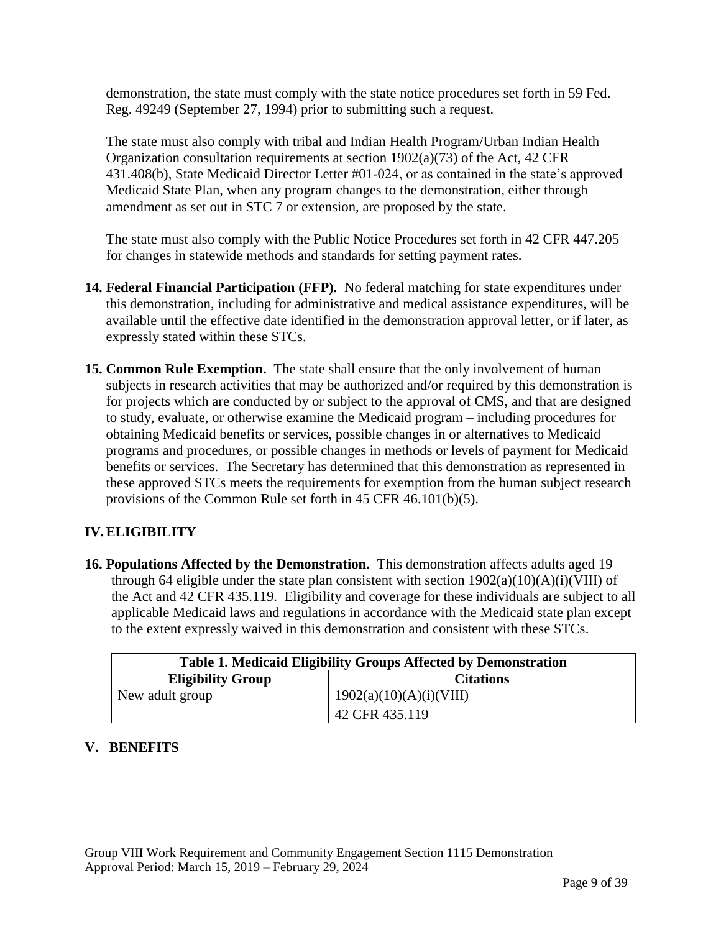demonstration, the state must comply with the state notice procedures set forth in 59 Fed. Reg. 49249 (September 27, 1994) prior to submitting such a request.

The state must also comply with tribal and Indian Health Program/Urban Indian Health Organization consultation requirements at section 1902(a)(73) of the Act, 42 CFR 431.408(b), State Medicaid Director Letter #01-024, or as contained in the state's approved Medicaid State Plan, when any program changes to the demonstration, either through amendment as set out in STC 7 or extension, are proposed by the state.

The state must also comply with the Public Notice Procedures set forth in 42 CFR 447.205 for changes in statewide methods and standards for setting payment rates.

- **14. Federal Financial Participation (FFP).** No federal matching for state expenditures under this demonstration, including for administrative and medical assistance expenditures, will be available until the effective date identified in the demonstration approval letter, or if later, as expressly stated within these STCs.
- **15. Common Rule Exemption.** The state shall ensure that the only involvement of human subjects in research activities that may be authorized and/or required by this demonstration is for projects which are conducted by or subject to the approval of CMS, and that are designed to study, evaluate, or otherwise examine the Medicaid program – including procedures for obtaining Medicaid benefits or services, possible changes in or alternatives to Medicaid programs and procedures, or possible changes in methods or levels of payment for Medicaid benefits or services. The Secretary has determined that this demonstration as represented in these approved STCs meets the requirements for exemption from the human subject research provisions of the Common Rule set forth in 45 CFR 46.101(b)(5).

# **IV.ELIGIBILITY**

**16. Populations Affected by the Demonstration.** This demonstration affects adults aged 19 through 64 eligible under the state plan consistent with section  $1902(a)(10)(A)(i)(VIII)$  of the Act and 42 CFR 435.119. Eligibility and coverage for these individuals are subject to all applicable Medicaid laws and regulations in accordance with the Medicaid state plan except to the extent expressly waived in this demonstration and consistent with these STCs.

| <b>Table 1. Medicaid Eligibility Groups Affected by Demonstration</b> |                         |  |  |  |  |
|-----------------------------------------------------------------------|-------------------------|--|--|--|--|
| <b>Eligibility Group</b>                                              | <b>Citations</b>        |  |  |  |  |
| New adult group                                                       | 1902(a)(10)(A)(i)(VIII) |  |  |  |  |
|                                                                       | 42 CFR 435.119          |  |  |  |  |

# **V. BENEFITS**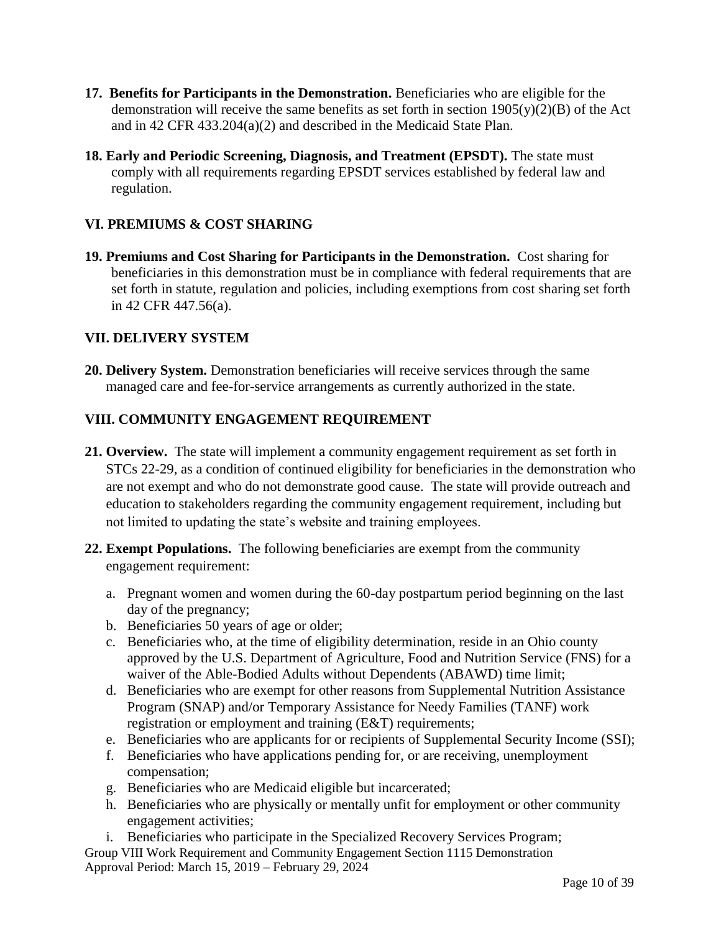- **17. Benefits for Participants in the Demonstration.** Beneficiaries who are eligible for the demonstration will receive the same benefits as set forth in section  $1905(y)(2)(B)$  of the Act and in 42 CFR 433.204(a)(2) and described in the Medicaid State Plan.
- **18. Early and Periodic Screening, Diagnosis, and Treatment (EPSDT).** The state must comply with all requirements regarding EPSDT services established by federal law and regulation.

## **VI. PREMIUMS & COST SHARING**

**19. Premiums and Cost Sharing for Participants in the Demonstration.** Cost sharing for beneficiaries in this demonstration must be in compliance with federal requirements that are set forth in statute, regulation and policies, including exemptions from cost sharing set forth in 42 CFR 447.56(a).

#### **VII. DELIVERY SYSTEM**

**20. Delivery System.** Demonstration beneficiaries will receive services through the same managed care and fee-for-service arrangements as currently authorized in the state.

#### **VIII. COMMUNITY ENGAGEMENT REQUIREMENT**

- **21. Overview.** The state will implement a community engagement requirement as set forth in STCs 22-29, as a condition of continued eligibility for beneficiaries in the demonstration who are not exempt and who do not demonstrate good cause. The state will provide outreach and education to stakeholders regarding the community engagement requirement, including but not limited to updating the state's website and training employees.
- **22. Exempt Populations.** The following beneficiaries are exempt from the community engagement requirement:
	- a. Pregnant women and women during the 60-day postpartum period beginning on the last day of the pregnancy;
	- b. Beneficiaries 50 years of age or older;
	- c. Beneficiaries who, at the time of eligibility determination, reside in an Ohio county approved by the U.S. Department of Agriculture, Food and Nutrition Service (FNS) for a waiver of the Able-Bodied Adults without Dependents (ABAWD) time limit;
	- d. Beneficiaries who are exempt for other reasons from Supplemental Nutrition Assistance Program (SNAP) and/or Temporary Assistance for Needy Families (TANF) work registration or employment and training (E&T) requirements;
	- e. Beneficiaries who are applicants for or recipients of Supplemental Security Income (SSI);
	- f. Beneficiaries who have applications pending for, or are receiving, unemployment compensation;
	- g. Beneficiaries who are Medicaid eligible but incarcerated;
	- h. Beneficiaries who are physically or mentally unfit for employment or other community engagement activities;
- Group VIII Work Requirement and Community Engagement Section 1115 Demonstration Approval Period: March 15, 2019 – February 29, 2024 i. Beneficiaries who participate in the Specialized Recovery Services Program;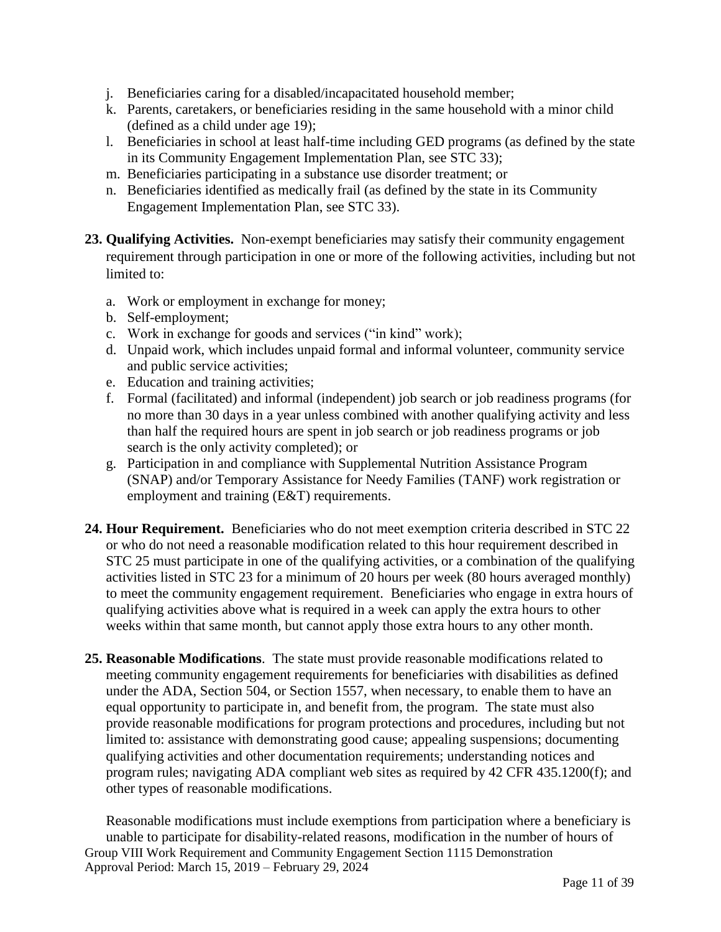- j. Beneficiaries caring for a disabled/incapacitated household member;
- k. Parents, caretakers, or beneficiaries residing in the same household with a minor child (defined as a child under age 19);
- l. Beneficiaries in school at least half-time including GED programs (as defined by the state in its Community Engagement Implementation Plan, see STC 33);
- m. Beneficiaries participating in a substance use disorder treatment; or
- n. Beneficiaries identified as medically frail (as defined by the state in its Community Engagement Implementation Plan, see STC 33).
- **23. Qualifying Activities.** Non-exempt beneficiaries may satisfy their community engagement requirement through participation in one or more of the following activities, including but not limited to:
	- a. Work or employment in exchange for money;
	- b. Self-employment;
	- c. Work in exchange for goods and services ("in kind" work);
	- d. Unpaid work, which includes unpaid formal and informal volunteer, community service and public service activities;
	- e. Education and training activities;
	- f. Formal (facilitated) and informal (independent) job search or job readiness programs (for no more than 30 days in a year unless combined with another qualifying activity and less than half the required hours are spent in job search or job readiness programs or job search is the only activity completed); or
	- g. Participation in and compliance with Supplemental Nutrition Assistance Program (SNAP) and/or Temporary Assistance for Needy Families (TANF) work registration or employment and training (E&T) requirements.
- **24. Hour Requirement.** Beneficiaries who do not meet exemption criteria described in STC 22 or who do not need a reasonable modification related to this hour requirement described in STC 25 must participate in one of the qualifying activities, or a combination of the qualifying activities listed in STC 23 for a minimum of 20 hours per week (80 hours averaged monthly) to meet the community engagement requirement. Beneficiaries who engage in extra hours of qualifying activities above what is required in a week can apply the extra hours to other weeks within that same month, but cannot apply those extra hours to any other month.
- **25. Reasonable Modifications**. The state must provide reasonable modifications related to meeting community engagement requirements for beneficiaries with disabilities as defined under the ADA, Section 504, or Section 1557, when necessary, to enable them to have an equal opportunity to participate in, and benefit from, the program. The state must also provide reasonable modifications for program protections and procedures, including but not limited to: assistance with demonstrating good cause; appealing suspensions; documenting qualifying activities and other documentation requirements; understanding notices and program rules; navigating ADA compliant web sites as required by 42 CFR 435.1200(f); and other types of reasonable modifications.

Group VIII Work Requirement and Community Engagement Section 1115 Demonstration Approval Period: March 15, 2019 – February 29, 2024 Reasonable modifications must include exemptions from participation where a beneficiary is unable to participate for disability-related reasons, modification in the number of hours of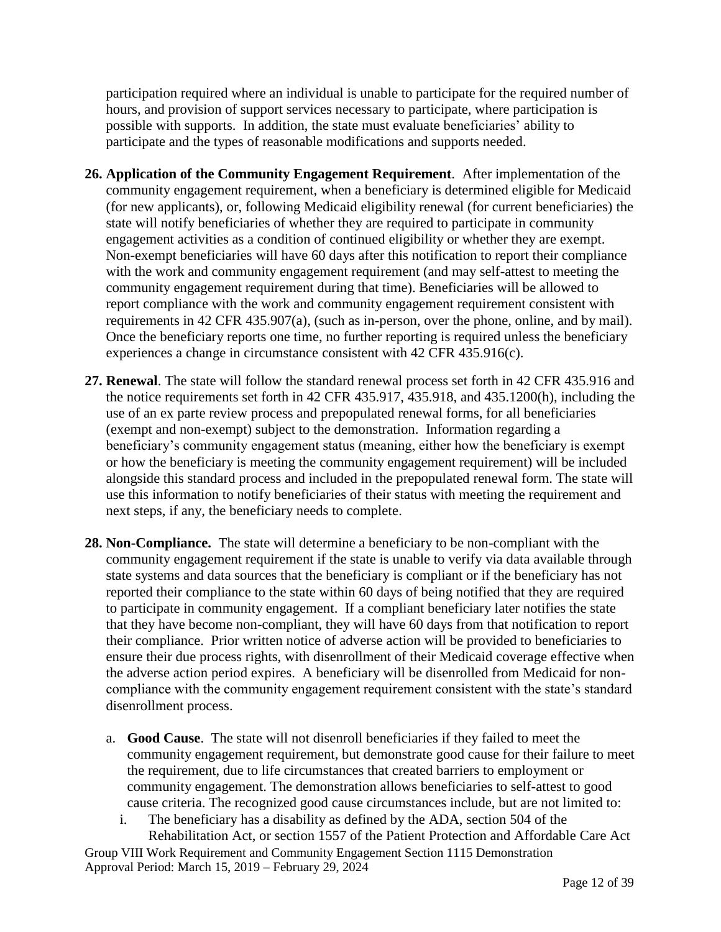participation required where an individual is unable to participate for the required number of hours, and provision of support services necessary to participate, where participation is possible with supports. In addition, the state must evaluate beneficiaries' ability to participate and the types of reasonable modifications and supports needed.

- **26. Application of the Community Engagement Requirement**. After implementation of the community engagement requirement, when a beneficiary is determined eligible for Medicaid (for new applicants), or, following Medicaid eligibility renewal (for current beneficiaries) the state will notify beneficiaries of whether they are required to participate in community engagement activities as a condition of continued eligibility or whether they are exempt. Non-exempt beneficiaries will have 60 days after this notification to report their compliance with the work and community engagement requirement (and may self-attest to meeting the community engagement requirement during that time). Beneficiaries will be allowed to report compliance with the work and community engagement requirement consistent with requirements in 42 CFR 435.907(a), (such as in-person, over the phone, online, and by mail). Once the beneficiary reports one time, no further reporting is required unless the beneficiary experiences a change in circumstance consistent with 42 CFR 435.916(c).
- **27. Renewal**. The state will follow the standard renewal process set forth in 42 CFR 435.916 and the notice requirements set forth in 42 CFR 435.917, 435.918, and 435.1200(h), including the use of an ex parte review process and prepopulated renewal forms, for all beneficiaries (exempt and non-exempt) subject to the demonstration. Information regarding a beneficiary's community engagement status (meaning, either how the beneficiary is exempt or how the beneficiary is meeting the community engagement requirement) will be included alongside this standard process and included in the prepopulated renewal form. The state will use this information to notify beneficiaries of their status with meeting the requirement and next steps, if any, the beneficiary needs to complete.
- **28. Non-Compliance.** The state will determine a beneficiary to be non-compliant with the community engagement requirement if the state is unable to verify via data available through state systems and data sources that the beneficiary is compliant or if the beneficiary has not reported their compliance to the state within 60 days of being notified that they are required to participate in community engagement. If a compliant beneficiary later notifies the state that they have become non-compliant, they will have 60 days from that notification to report their compliance. Prior written notice of adverse action will be provided to beneficiaries to ensure their due process rights, with disenrollment of their Medicaid coverage effective when the adverse action period expires. A beneficiary will be disenrolled from Medicaid for noncompliance with the community engagement requirement consistent with the state's standard disenrollment process.
	- a. **Good Cause**. The state will not disenroll beneficiaries if they failed to meet the community engagement requirement, but demonstrate good cause for their failure to meet the requirement, due to life circumstances that created barriers to employment or community engagement. The demonstration allows beneficiaries to self-attest to good cause criteria. The recognized good cause circumstances include, but are not limited to:
		- i. The beneficiary has a disability as defined by the ADA, section 504 of the Rehabilitation Act, or section 1557 of the Patient Protection and Affordable Care Act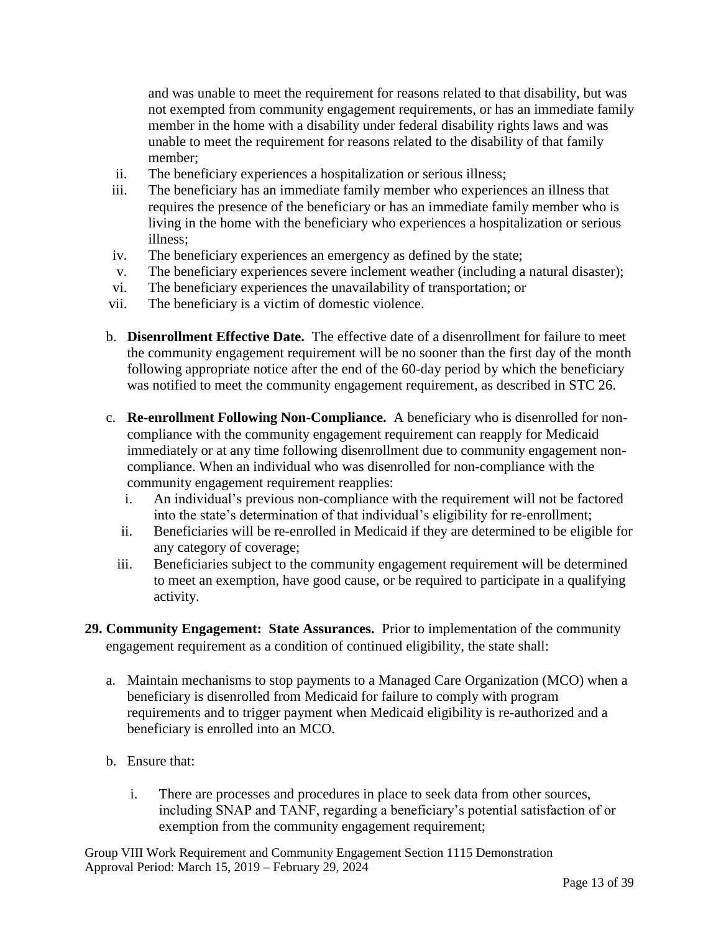and was unable to meet the requirement for reasons related to that disability, but was not exempted from community engagement requirements, or has an immediate family member in the home with a disability under federal disability rights laws and was unable to meet the requirement for reasons related to the disability of that family member;

- ii. The beneficiary experiences a hospitalization or serious illness;
- iii. The beneficiary has an immediate family member who experiences an illness that requires the presence of the beneficiary or has an immediate family member who is living in the home with the beneficiary who experiences a hospitalization or serious illness;
- iv. The beneficiary experiences an emergency as defined by the state;
- v. The beneficiary experiences severe inclement weather (including a natural disaster);
- vi. The beneficiary experiences the unavailability of transportation; or
- vii. The beneficiary is a victim of domestic violence.
- b. **Disenrollment Effective Date.** The effective date of a disenrollment for failure to meet the community engagement requirement will be no sooner than the first day of the month following appropriate notice after the end of the 60-day period by which the beneficiary was notified to meet the community engagement requirement, as described in STC 26.
- c. **Re-enrollment Following Non-Compliance.** A beneficiary who is disenrolled for noncompliance with the community engagement requirement can reapply for Medicaid immediately or at any time following disenrollment due to community engagement noncompliance. When an individual who was disenrolled for non-compliance with the community engagement requirement reapplies:
	- i. An individual's previous non-compliance with the requirement will not be factored into the state's determination of that individual's eligibility for re-enrollment;
	- ii. Beneficiaries will be re-enrolled in Medicaid if they are determined to be eligible for any category of coverage;
	- iii. Beneficiaries subject to the community engagement requirement will be determined to meet an exemption, have good cause, or be required to participate in a qualifying activity.
- **29. Community Engagement: State Assurances.** Prior to implementation of the community engagement requirement as a condition of continued eligibility, the state shall:
	- a. Maintain mechanisms to stop payments to a Managed Care Organization (MCO) when a beneficiary is disenrolled from Medicaid for failure to comply with program requirements and to trigger payment when Medicaid eligibility is re-authorized and a beneficiary is enrolled into an MCO.
	- b. Ensure that:
		- i. There are processes and procedures in place to seek data from other sources, including SNAP and TANF, regarding a beneficiary's potential satisfaction of or exemption from the community engagement requirement;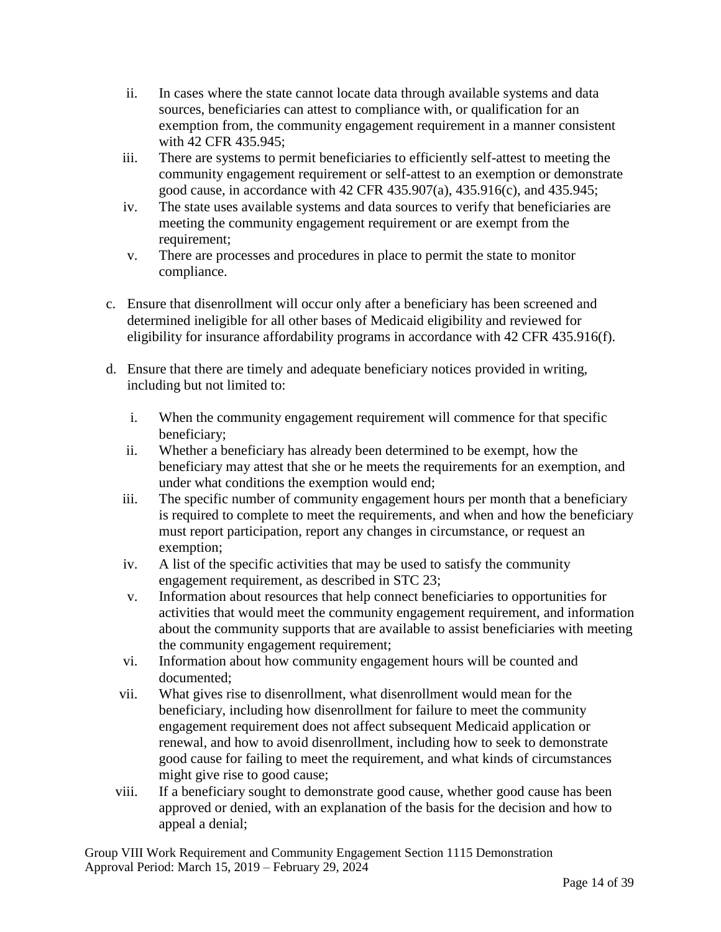- ii. In cases where the state cannot locate data through available systems and data sources, beneficiaries can attest to compliance with, or qualification for an exemption from, the community engagement requirement in a manner consistent with 42 CFR 435.945;
- iii. There are systems to permit beneficiaries to efficiently self-attest to meeting the community engagement requirement or self-attest to an exemption or demonstrate good cause, in accordance with 42 CFR 435.907(a), 435.916(c), and 435.945;
- iv. The state uses available systems and data sources to verify that beneficiaries are meeting the community engagement requirement or are exempt from the requirement;
- v. There are processes and procedures in place to permit the state to monitor compliance.
- c. Ensure that disenrollment will occur only after a beneficiary has been screened and determined ineligible for all other bases of Medicaid eligibility and reviewed for eligibility for insurance affordability programs in accordance with 42 CFR 435.916(f).
- d. Ensure that there are timely and adequate beneficiary notices provided in writing, including but not limited to:
	- i. When the community engagement requirement will commence for that specific beneficiary;
	- ii. Whether a beneficiary has already been determined to be exempt, how the beneficiary may attest that she or he meets the requirements for an exemption, and under what conditions the exemption would end;
	- iii. The specific number of community engagement hours per month that a beneficiary is required to complete to meet the requirements, and when and how the beneficiary must report participation, report any changes in circumstance, or request an exemption;
	- iv. A list of the specific activities that may be used to satisfy the community engagement requirement, as described in STC 23;
	- v. Information about resources that help connect beneficiaries to opportunities for activities that would meet the community engagement requirement, and information about the community supports that are available to assist beneficiaries with meeting the community engagement requirement;
	- vi. Information about how community engagement hours will be counted and documented;
	- vii. What gives rise to disenrollment, what disenrollment would mean for the beneficiary, including how disenrollment for failure to meet the community engagement requirement does not affect subsequent Medicaid application or renewal, and how to avoid disenrollment, including how to seek to demonstrate good cause for failing to meet the requirement, and what kinds of circumstances might give rise to good cause;
	- viii. If a beneficiary sought to demonstrate good cause, whether good cause has been approved or denied, with an explanation of the basis for the decision and how to appeal a denial;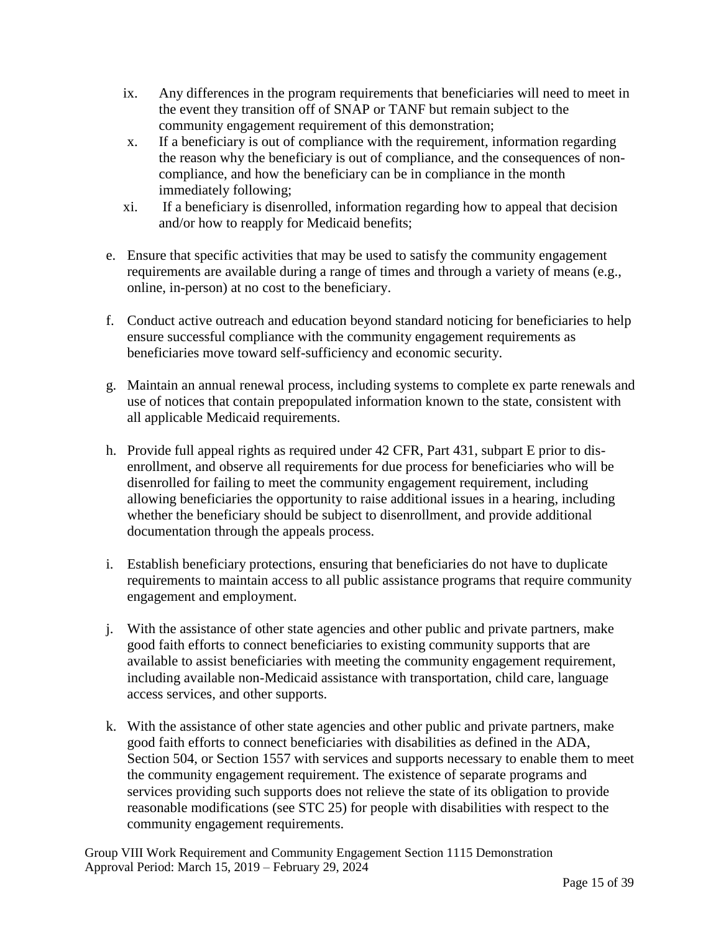- ix. Any differences in the program requirements that beneficiaries will need to meet in the event they transition off of SNAP or TANF but remain subject to the community engagement requirement of this demonstration;
- x. If a beneficiary is out of compliance with the requirement, information regarding the reason why the beneficiary is out of compliance, and the consequences of noncompliance, and how the beneficiary can be in compliance in the month immediately following;
- xi. If a beneficiary is disenrolled, information regarding how to appeal that decision and/or how to reapply for Medicaid benefits;
- e. Ensure that specific activities that may be used to satisfy the community engagement requirements are available during a range of times and through a variety of means (e.g., online, in-person) at no cost to the beneficiary.
- f. Conduct active outreach and education beyond standard noticing for beneficiaries to help ensure successful compliance with the community engagement requirements as beneficiaries move toward self-sufficiency and economic security.
- g. Maintain an annual renewal process, including systems to complete ex parte renewals and use of notices that contain prepopulated information known to the state, consistent with all applicable Medicaid requirements.
- h. Provide full appeal rights as required under 42 CFR, Part 431, subpart E prior to disenrollment, and observe all requirements for due process for beneficiaries who will be disenrolled for failing to meet the community engagement requirement, including allowing beneficiaries the opportunity to raise additional issues in a hearing, including whether the beneficiary should be subject to disenrollment, and provide additional documentation through the appeals process.
- i. Establish beneficiary protections, ensuring that beneficiaries do not have to duplicate requirements to maintain access to all public assistance programs that require community engagement and employment.
- j. With the assistance of other state agencies and other public and private partners, make good faith efforts to connect beneficiaries to existing community supports that are available to assist beneficiaries with meeting the community engagement requirement, including available non-Medicaid assistance with transportation, child care, language access services, and other supports.
- k. With the assistance of other state agencies and other public and private partners, make good faith efforts to connect beneficiaries with disabilities as defined in the ADA, Section 504, or Section 1557 with services and supports necessary to enable them to meet the community engagement requirement. The existence of separate programs and services providing such supports does not relieve the state of its obligation to provide reasonable modifications (see STC 25) for people with disabilities with respect to the community engagement requirements.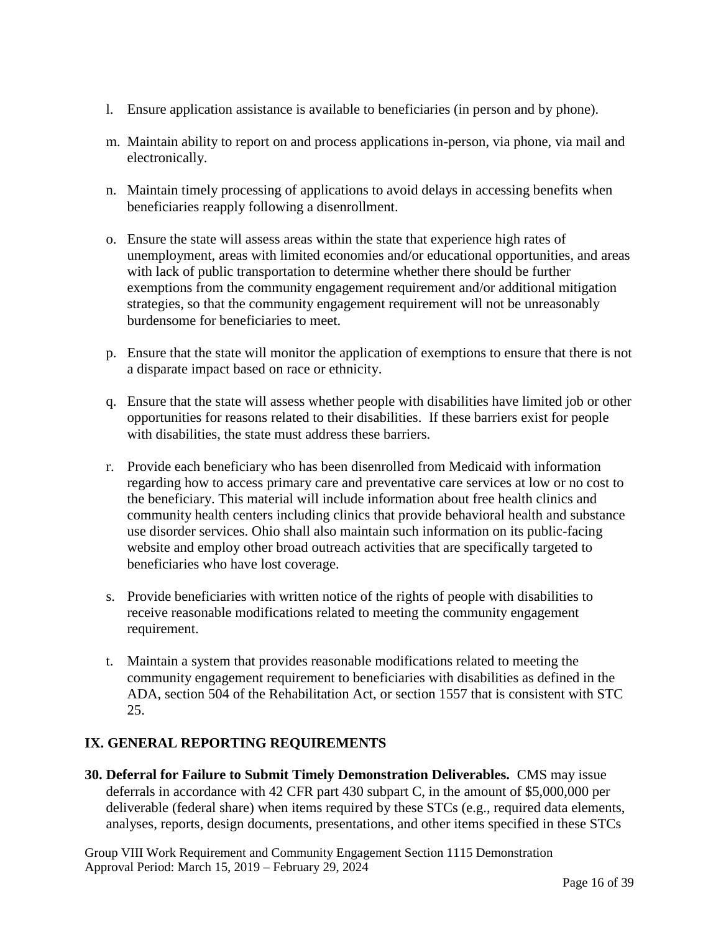- l. Ensure application assistance is available to beneficiaries (in person and by phone).
- m. Maintain ability to report on and process applications in-person, via phone, via mail and electronically.
- n. Maintain timely processing of applications to avoid delays in accessing benefits when beneficiaries reapply following a disenrollment.
- o. Ensure the state will assess areas within the state that experience high rates of unemployment, areas with limited economies and/or educational opportunities, and areas with lack of public transportation to determine whether there should be further exemptions from the community engagement requirement and/or additional mitigation strategies, so that the community engagement requirement will not be unreasonably burdensome for beneficiaries to meet.
- p. Ensure that the state will monitor the application of exemptions to ensure that there is not a disparate impact based on race or ethnicity.
- q. Ensure that the state will assess whether people with disabilities have limited job or other opportunities for reasons related to their disabilities. If these barriers exist for people with disabilities, the state must address these barriers.
- r. Provide each beneficiary who has been disenrolled from Medicaid with information regarding how to access primary care and preventative care services at low or no cost to the beneficiary. This material will include information about free health clinics and community health centers including clinics that provide behavioral health and substance use disorder services. Ohio shall also maintain such information on its public-facing website and employ other broad outreach activities that are specifically targeted to beneficiaries who have lost coverage.
- s. Provide beneficiaries with written notice of the rights of people with disabilities to receive reasonable modifications related to meeting the community engagement requirement.
- t. Maintain a system that provides reasonable modifications related to meeting the community engagement requirement to beneficiaries with disabilities as defined in the ADA, section 504 of the Rehabilitation Act, or section 1557 that is consistent with STC 25.

## **IX. GENERAL REPORTING REQUIREMENTS**

**30. Deferral for Failure to Submit Timely Demonstration Deliverables.** CMS may issue deferrals in accordance with 42 CFR part 430 subpart C, in the amount of \$5,000,000 per deliverable (federal share) when items required by these STCs (e.g., required data elements, analyses, reports, design documents, presentations, and other items specified in these STCs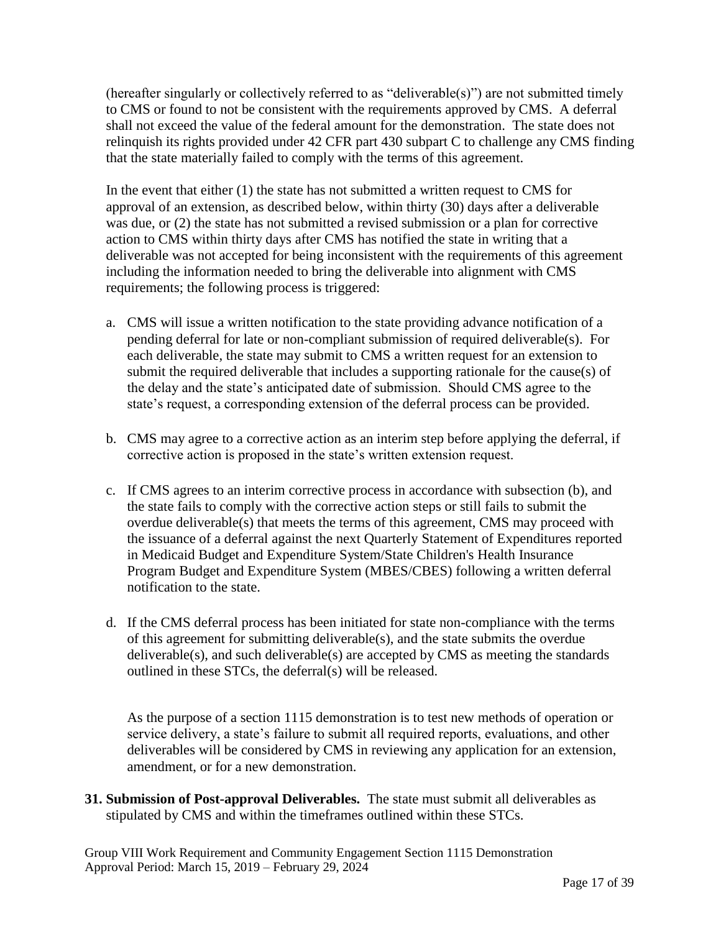(hereafter singularly or collectively referred to as "deliverable(s)") are not submitted timely to CMS or found to not be consistent with the requirements approved by CMS. A deferral shall not exceed the value of the federal amount for the demonstration. The state does not relinquish its rights provided under 42 CFR part 430 subpart C to challenge any CMS finding that the state materially failed to comply with the terms of this agreement.

In the event that either (1) the state has not submitted a written request to CMS for approval of an extension, as described below, within thirty (30) days after a deliverable was due, or (2) the state has not submitted a revised submission or a plan for corrective action to CMS within thirty days after CMS has notified the state in writing that a deliverable was not accepted for being inconsistent with the requirements of this agreement including the information needed to bring the deliverable into alignment with CMS requirements; the following process is triggered:

- a. CMS will issue a written notification to the state providing advance notification of a pending deferral for late or non-compliant submission of required deliverable(s). For each deliverable, the state may submit to CMS a written request for an extension to submit the required deliverable that includes a supporting rationale for the cause(s) of the delay and the state's anticipated date of submission. Should CMS agree to the state's request, a corresponding extension of the deferral process can be provided.
- b. CMS may agree to a corrective action as an interim step before applying the deferral, if corrective action is proposed in the state's written extension request.
- c. If CMS agrees to an interim corrective process in accordance with subsection (b), and the state fails to comply with the corrective action steps or still fails to submit the overdue deliverable(s) that meets the terms of this agreement, CMS may proceed with the issuance of a deferral against the next Quarterly Statement of Expenditures reported in Medicaid Budget and Expenditure System/State Children's Health Insurance Program Budget and Expenditure System (MBES/CBES) following a written deferral notification to the state.
- d. If the CMS deferral process has been initiated for state non-compliance with the terms of this agreement for submitting deliverable(s), and the state submits the overdue deliverable(s), and such deliverable(s) are accepted by CMS as meeting the standards outlined in these STCs, the deferral(s) will be released.

As the purpose of a section 1115 demonstration is to test new methods of operation or service delivery, a state's failure to submit all required reports, evaluations, and other deliverables will be considered by CMS in reviewing any application for an extension, amendment, or for a new demonstration.

**31. Submission of Post-approval Deliverables.** The state must submit all deliverables as stipulated by CMS and within the timeframes outlined within these STCs.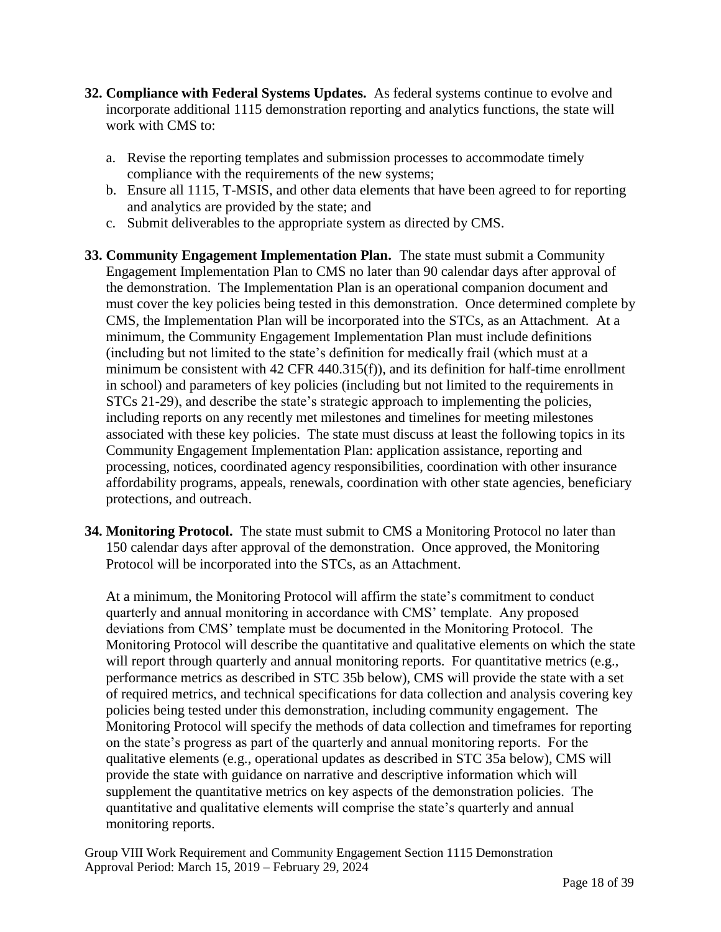- **32. Compliance with Federal Systems Updates.** As federal systems continue to evolve and incorporate additional 1115 demonstration reporting and analytics functions, the state will work with CMS to:
	- a. Revise the reporting templates and submission processes to accommodate timely compliance with the requirements of the new systems;
	- b. Ensure all 1115, T-MSIS, and other data elements that have been agreed to for reporting and analytics are provided by the state; and
	- c. Submit deliverables to the appropriate system as directed by CMS.
- **33. Community Engagement Implementation Plan.** The state must submit a Community Engagement Implementation Plan to CMS no later than 90 calendar days after approval of the demonstration. The Implementation Plan is an operational companion document and must cover the key policies being tested in this demonstration. Once determined complete by CMS, the Implementation Plan will be incorporated into the STCs, as an Attachment. At a minimum, the Community Engagement Implementation Plan must include definitions (including but not limited to the state's definition for medically frail (which must at a minimum be consistent with 42 CFR 440.315(f)), and its definition for half-time enrollment in school) and parameters of key policies (including but not limited to the requirements in STCs 21-29), and describe the state's strategic approach to implementing the policies, including reports on any recently met milestones and timelines for meeting milestones associated with these key policies. The state must discuss at least the following topics in its Community Engagement Implementation Plan: application assistance, reporting and processing, notices, coordinated agency responsibilities, coordination with other insurance affordability programs, appeals, renewals, coordination with other state agencies, beneficiary protections, and outreach.
- **34. Monitoring Protocol.** The state must submit to CMS a Monitoring Protocol no later than 150 calendar days after approval of the demonstration. Once approved, the Monitoring Protocol will be incorporated into the STCs, as an Attachment.

At a minimum, the Monitoring Protocol will affirm the state's commitment to conduct quarterly and annual monitoring in accordance with CMS' template. Any proposed deviations from CMS' template must be documented in the Monitoring Protocol. The Monitoring Protocol will describe the quantitative and qualitative elements on which the state will report through quarterly and annual monitoring reports. For quantitative metrics (e.g., performance metrics as described in STC 35b below), CMS will provide the state with a set of required metrics, and technical specifications for data collection and analysis covering key policies being tested under this demonstration, including community engagement. The Monitoring Protocol will specify the methods of data collection and timeframes for reporting on the state's progress as part of the quarterly and annual monitoring reports. For the qualitative elements (e.g., operational updates as described in STC 35a below), CMS will provide the state with guidance on narrative and descriptive information which will supplement the quantitative metrics on key aspects of the demonstration policies. The quantitative and qualitative elements will comprise the state's quarterly and annual monitoring reports.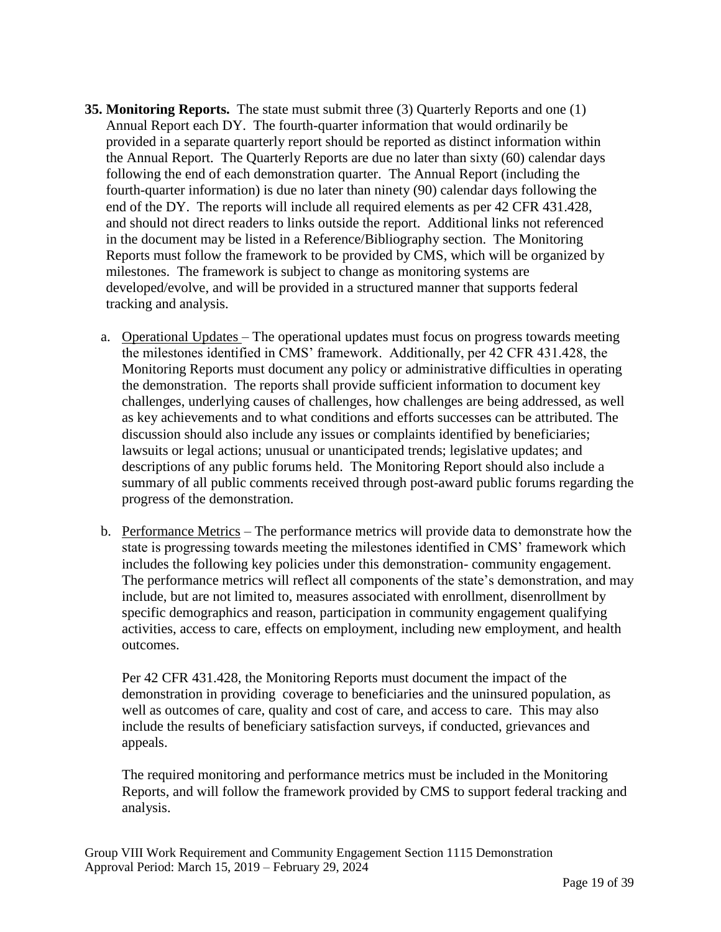- **35. Monitoring Reports.** The state must submit three (3) Quarterly Reports and one (1) Annual Report each DY. The fourth-quarter information that would ordinarily be provided in a separate quarterly report should be reported as distinct information within the Annual Report. The Quarterly Reports are due no later than sixty (60) calendar days following the end of each demonstration quarter. The Annual Report (including the fourth-quarter information) is due no later than ninety (90) calendar days following the end of the DY. The reports will include all required elements as per 42 CFR 431.428, and should not direct readers to links outside the report. Additional links not referenced in the document may be listed in a Reference/Bibliography section. The Monitoring Reports must follow the framework to be provided by CMS, which will be organized by milestones. The framework is subject to change as monitoring systems are developed/evolve, and will be provided in a structured manner that supports federal tracking and analysis.
	- a. Operational Updates The operational updates must focus on progress towards meeting the milestones identified in CMS' framework. Additionally, per 42 CFR 431.428, the Monitoring Reports must document any policy or administrative difficulties in operating the demonstration. The reports shall provide sufficient information to document key challenges, underlying causes of challenges, how challenges are being addressed, as well as key achievements and to what conditions and efforts successes can be attributed. The discussion should also include any issues or complaints identified by beneficiaries; lawsuits or legal actions; unusual or unanticipated trends; legislative updates; and descriptions of any public forums held. The Monitoring Report should also include a summary of all public comments received through post-award public forums regarding the progress of the demonstration.
	- b. Performance Metrics The performance metrics will provide data to demonstrate how the state is progressing towards meeting the milestones identified in CMS' framework which includes the following key policies under this demonstration- community engagement. The performance metrics will reflect all components of the state's demonstration, and may include, but are not limited to, measures associated with enrollment, disenrollment by specific demographics and reason, participation in community engagement qualifying activities, access to care, effects on employment, including new employment, and health outcomes.

Per 42 CFR 431.428, the Monitoring Reports must document the impact of the demonstration in providing coverage to beneficiaries and the uninsured population, as well as outcomes of care, quality and cost of care, and access to care. This may also include the results of beneficiary satisfaction surveys, if conducted, grievances and appeals.

The required monitoring and performance metrics must be included in the Monitoring Reports, and will follow the framework provided by CMS to support federal tracking and analysis.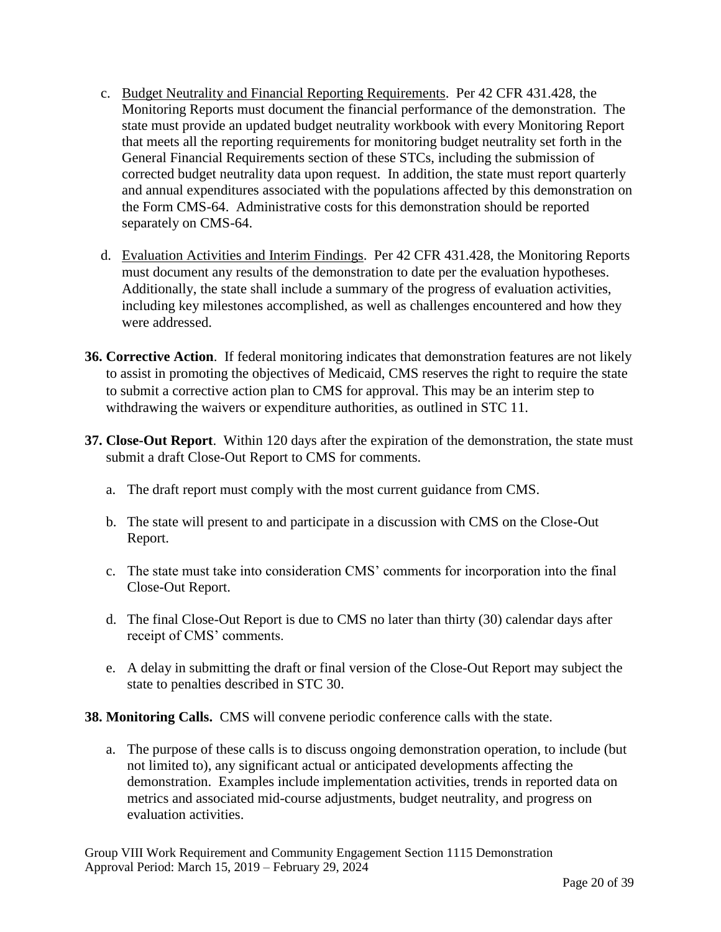- c. Budget Neutrality and Financial Reporting Requirements. Per 42 CFR 431.428, the Monitoring Reports must document the financial performance of the demonstration. The state must provide an updated budget neutrality workbook with every Monitoring Report that meets all the reporting requirements for monitoring budget neutrality set forth in the General Financial Requirements section of these STCs, including the submission of corrected budget neutrality data upon request. In addition, the state must report quarterly and annual expenditures associated with the populations affected by this demonstration on the Form CMS-64. Administrative costs for this demonstration should be reported separately on CMS-64.
- d. Evaluation Activities and Interim Findings. Per 42 CFR 431.428, the Monitoring Reports must document any results of the demonstration to date per the evaluation hypotheses. Additionally, the state shall include a summary of the progress of evaluation activities, including key milestones accomplished, as well as challenges encountered and how they were addressed.
- **36. Corrective Action**. If federal monitoring indicates that demonstration features are not likely to assist in promoting the objectives of Medicaid, CMS reserves the right to require the state to submit a corrective action plan to CMS for approval. This may be an interim step to withdrawing the waivers or expenditure authorities, as outlined in STC 11.
- **37. Close-Out Report**. Within 120 days after the expiration of the demonstration, the state must submit a draft Close-Out Report to CMS for comments.
	- a. The draft report must comply with the most current guidance from CMS.
	- b. The state will present to and participate in a discussion with CMS on the Close-Out Report.
	- c. The state must take into consideration CMS' comments for incorporation into the final Close-Out Report.
	- d. The final Close-Out Report is due to CMS no later than thirty (30) calendar days after receipt of CMS' comments.
	- e. A delay in submitting the draft or final version of the Close-Out Report may subject the state to penalties described in STC 30.
- **38. Monitoring Calls.** CMS will convene periodic conference calls with the state.
	- a. The purpose of these calls is to discuss ongoing demonstration operation, to include (but not limited to), any significant actual or anticipated developments affecting the demonstration. Examples include implementation activities, trends in reported data on metrics and associated mid-course adjustments, budget neutrality, and progress on evaluation activities.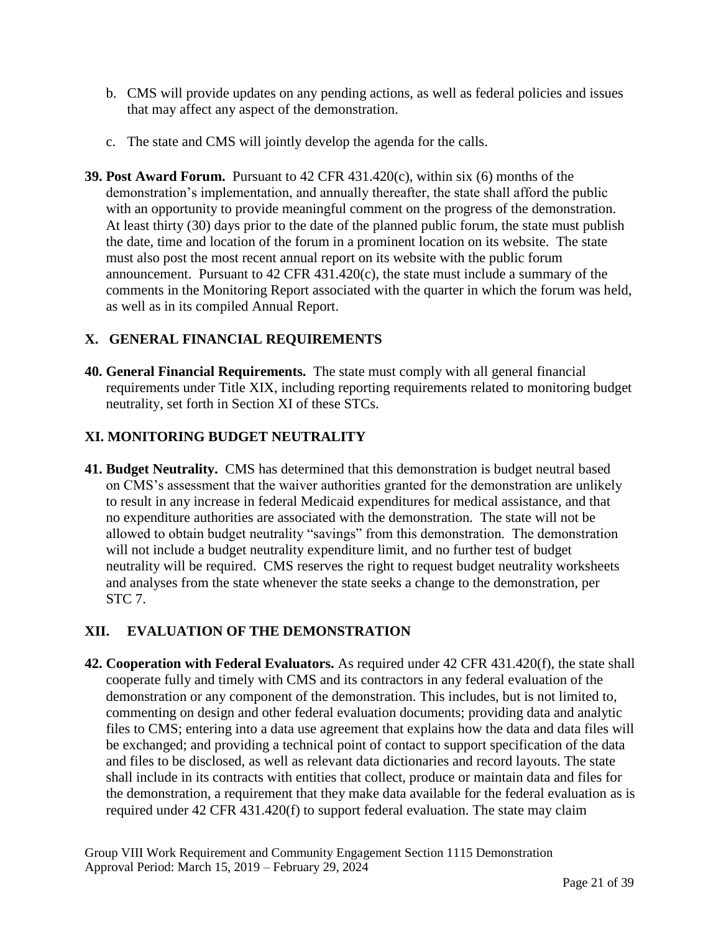- b. CMS will provide updates on any pending actions, as well as federal policies and issues that may affect any aspect of the demonstration.
- c. The state and CMS will jointly develop the agenda for the calls.
- **39. Post Award Forum.** Pursuant to 42 CFR 431.420(c), within six (6) months of the demonstration's implementation, and annually thereafter, the state shall afford the public with an opportunity to provide meaningful comment on the progress of the demonstration. At least thirty (30) days prior to the date of the planned public forum, the state must publish the date, time and location of the forum in a prominent location on its website. The state must also post the most recent annual report on its website with the public forum announcement. Pursuant to 42 CFR 431.420(c), the state must include a summary of the comments in the Monitoring Report associated with the quarter in which the forum was held, as well as in its compiled Annual Report.

## **X. GENERAL FINANCIAL REQUIREMENTS**

**40. General Financial Requirements.** The state must comply with all general financial requirements under Title XIX, including reporting requirements related to monitoring budget neutrality, set forth in Section XI of these STCs.

## **XI. MONITORING BUDGET NEUTRALITY**

**41. Budget Neutrality.** CMS has determined that this demonstration is budget neutral based on CMS's assessment that the waiver authorities granted for the demonstration are unlikely to result in any increase in federal Medicaid expenditures for medical assistance, and that no expenditure authorities are associated with the demonstration. The state will not be allowed to obtain budget neutrality "savings" from this demonstration. The demonstration will not include a budget neutrality expenditure limit, and no further test of budget neutrality will be required. CMS reserves the right to request budget neutrality worksheets and analyses from the state whenever the state seeks a change to the demonstration, per STC 7.

# **XII. EVALUATION OF THE DEMONSTRATION**

**42. Cooperation with Federal Evaluators.** As required under 42 CFR 431.420(f), the state shall cooperate fully and timely with CMS and its contractors in any federal evaluation of the demonstration or any component of the demonstration. This includes, but is not limited to, commenting on design and other federal evaluation documents; providing data and analytic files to CMS; entering into a data use agreement that explains how the data and data files will be exchanged; and providing a technical point of contact to support specification of the data and files to be disclosed, as well as relevant data dictionaries and record layouts. The state shall include in its contracts with entities that collect, produce or maintain data and files for the demonstration, a requirement that they make data available for the federal evaluation as is required under 42 CFR 431.420(f) to support federal evaluation. The state may claim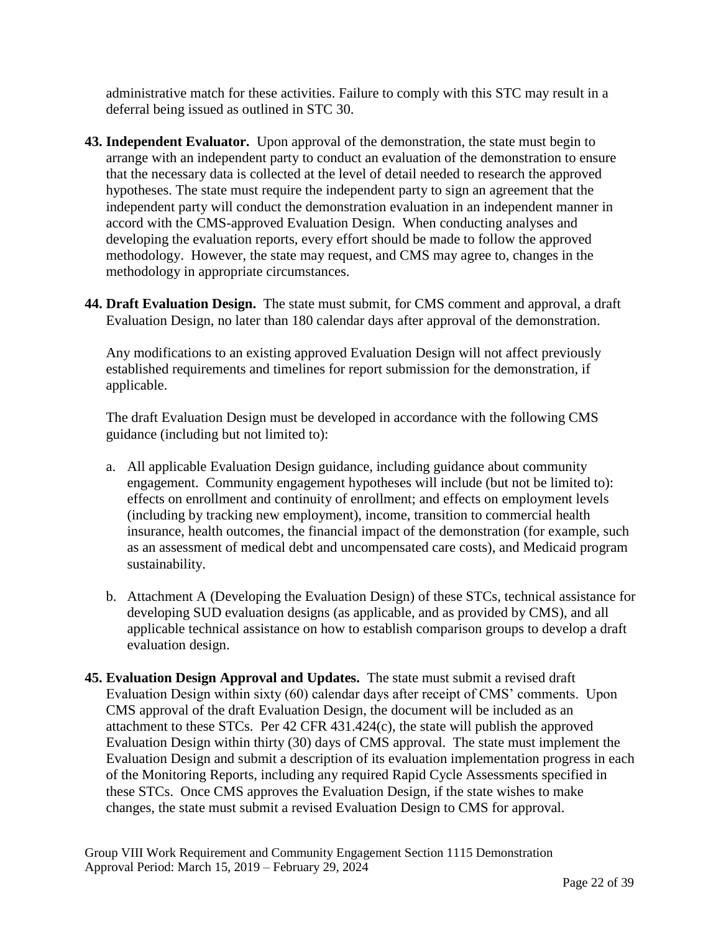administrative match for these activities. Failure to comply with this STC may result in a deferral being issued as outlined in STC 30.

- **43. Independent Evaluator.** Upon approval of the demonstration, the state must begin to arrange with an independent party to conduct an evaluation of the demonstration to ensure that the necessary data is collected at the level of detail needed to research the approved hypotheses. The state must require the independent party to sign an agreement that the independent party will conduct the demonstration evaluation in an independent manner in accord with the CMS-approved Evaluation Design. When conducting analyses and developing the evaluation reports, every effort should be made to follow the approved methodology. However, the state may request, and CMS may agree to, changes in the methodology in appropriate circumstances.
- **44. Draft Evaluation Design.** The state must submit, for CMS comment and approval, a draft Evaluation Design, no later than 180 calendar days after approval of the demonstration.

Any modifications to an existing approved Evaluation Design will not affect previously established requirements and timelines for report submission for the demonstration, if applicable.

The draft Evaluation Design must be developed in accordance with the following CMS guidance (including but not limited to):

- a. All applicable Evaluation Design guidance, including guidance about community engagement. Community engagement hypotheses will include (but not be limited to): effects on enrollment and continuity of enrollment; and effects on employment levels (including by tracking new employment), income, transition to commercial health insurance, health outcomes, the financial impact of the demonstration (for example, such as an assessment of medical debt and uncompensated care costs), and Medicaid program sustainability.
- b. Attachment A (Developing the Evaluation Design) of these STCs, technical assistance for developing SUD evaluation designs (as applicable, and as provided by CMS), and all applicable technical assistance on how to establish comparison groups to develop a draft evaluation design.
- **45. Evaluation Design Approval and Updates.** The state must submit a revised draft Evaluation Design within sixty (60) calendar days after receipt of CMS' comments. Upon CMS approval of the draft Evaluation Design, the document will be included as an attachment to these STCs. Per 42 CFR 431.424(c), the state will publish the approved Evaluation Design within thirty (30) days of CMS approval. The state must implement the Evaluation Design and submit a description of its evaluation implementation progress in each of the Monitoring Reports, including any required Rapid Cycle Assessments specified in these STCs. Once CMS approves the Evaluation Design, if the state wishes to make changes, the state must submit a revised Evaluation Design to CMS for approval.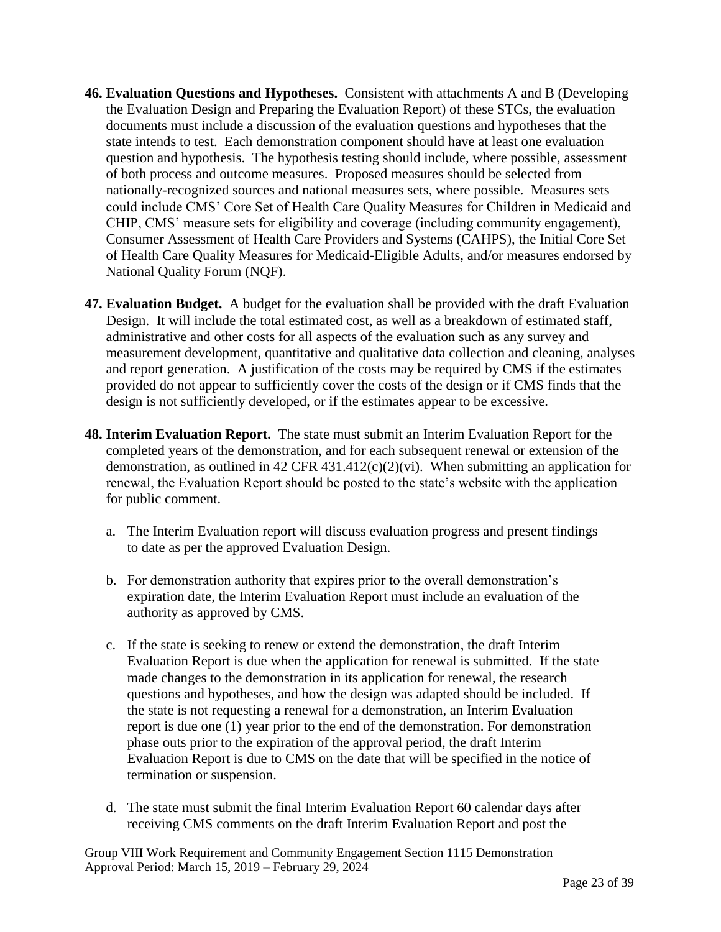- **46. Evaluation Questions and Hypotheses.** Consistent with attachments A and B (Developing the Evaluation Design and Preparing the Evaluation Report) of these STCs, the evaluation documents must include a discussion of the evaluation questions and hypotheses that the state intends to test. Each demonstration component should have at least one evaluation question and hypothesis. The hypothesis testing should include, where possible, assessment of both process and outcome measures. Proposed measures should be selected from nationally-recognized sources and national measures sets, where possible. Measures sets could include CMS' Core Set of Health Care Quality Measures for Children in Medicaid and CHIP, CMS' measure sets for eligibility and coverage (including community engagement), Consumer Assessment of Health Care Providers and Systems (CAHPS), the Initial Core Set of Health Care Quality Measures for Medicaid-Eligible Adults, and/or measures endorsed by National Quality Forum (NQF).
- **47. Evaluation Budget.** A budget for the evaluation shall be provided with the draft Evaluation Design. It will include the total estimated cost, as well as a breakdown of estimated staff, administrative and other costs for all aspects of the evaluation such as any survey and measurement development, quantitative and qualitative data collection and cleaning, analyses and report generation. A justification of the costs may be required by CMS if the estimates provided do not appear to sufficiently cover the costs of the design or if CMS finds that the design is not sufficiently developed, or if the estimates appear to be excessive.
- **48. Interim Evaluation Report.** The state must submit an Interim Evaluation Report for the completed years of the demonstration, and for each subsequent renewal or extension of the demonstration, as outlined in 42 CFR 431.412(c)(2)(vi). When submitting an application for renewal, the Evaluation Report should be posted to the state's website with the application for public comment.
	- a. The Interim Evaluation report will discuss evaluation progress and present findings to date as per the approved Evaluation Design.
	- b. For demonstration authority that expires prior to the overall demonstration's expiration date, the Interim Evaluation Report must include an evaluation of the authority as approved by CMS.
	- c. If the state is seeking to renew or extend the demonstration, the draft Interim Evaluation Report is due when the application for renewal is submitted. If the state made changes to the demonstration in its application for renewal, the research questions and hypotheses, and how the design was adapted should be included. If the state is not requesting a renewal for a demonstration, an Interim Evaluation report is due one (1) year prior to the end of the demonstration. For demonstration phase outs prior to the expiration of the approval period, the draft Interim Evaluation Report is due to CMS on the date that will be specified in the notice of termination or suspension.
	- d. The state must submit the final Interim Evaluation Report 60 calendar days after receiving CMS comments on the draft Interim Evaluation Report and post the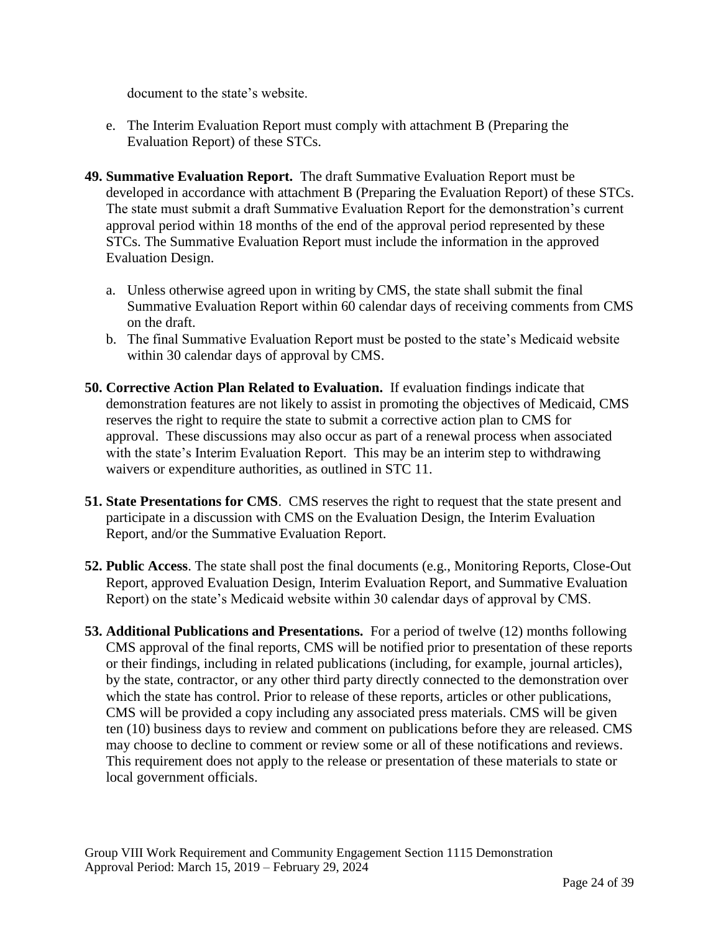document to the state's website.

- e. The Interim Evaluation Report must comply with attachment B (Preparing the Evaluation Report) of these STCs.
- **49. Summative Evaluation Report.** The draft Summative Evaluation Report must be developed in accordance with attachment B (Preparing the Evaluation Report) of these STCs. The state must submit a draft Summative Evaluation Report for the demonstration's current approval period within 18 months of the end of the approval period represented by these STCs. The Summative Evaluation Report must include the information in the approved Evaluation Design.
	- a. Unless otherwise agreed upon in writing by CMS, the state shall submit the final Summative Evaluation Report within 60 calendar days of receiving comments from CMS on the draft.
	- b. The final Summative Evaluation Report must be posted to the state's Medicaid website within 30 calendar days of approval by CMS.
- **50. Corrective Action Plan Related to Evaluation.** If evaluation findings indicate that demonstration features are not likely to assist in promoting the objectives of Medicaid, CMS reserves the right to require the state to submit a corrective action plan to CMS for approval. These discussions may also occur as part of a renewal process when associated with the state's Interim Evaluation Report. This may be an interim step to withdrawing waivers or expenditure authorities, as outlined in STC 11.
- **51. State Presentations for CMS**. CMS reserves the right to request that the state present and participate in a discussion with CMS on the Evaluation Design, the Interim Evaluation Report, and/or the Summative Evaluation Report.
- **52. Public Access**. The state shall post the final documents (e.g., Monitoring Reports, Close-Out Report, approved Evaluation Design, Interim Evaluation Report, and Summative Evaluation Report) on the state's Medicaid website within 30 calendar days of approval by CMS.
- **53. Additional Publications and Presentations.** For a period of twelve (12) months following CMS approval of the final reports, CMS will be notified prior to presentation of these reports or their findings, including in related publications (including, for example, journal articles), by the state, contractor, or any other third party directly connected to the demonstration over which the state has control. Prior to release of these reports, articles or other publications, CMS will be provided a copy including any associated press materials. CMS will be given ten (10) business days to review and comment on publications before they are released. CMS may choose to decline to comment or review some or all of these notifications and reviews. This requirement does not apply to the release or presentation of these materials to state or local government officials.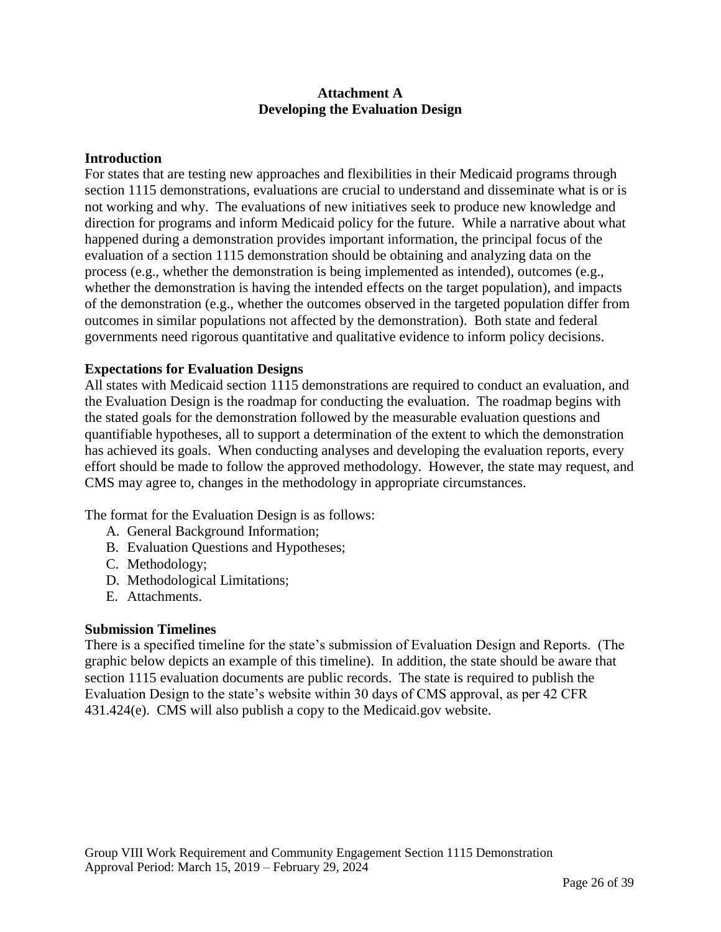#### **Attachment A Developing the Evaluation Design**

#### **Introduction**

For states that are testing new approaches and flexibilities in their Medicaid programs through section 1115 demonstrations, evaluations are crucial to understand and disseminate what is or is not working and why. The evaluations of new initiatives seek to produce new knowledge and direction for programs and inform Medicaid policy for the future. While a narrative about what happened during a demonstration provides important information, the principal focus of the evaluation of a section 1115 demonstration should be obtaining and analyzing data on the process (e.g., whether the demonstration is being implemented as intended), outcomes (e.g., whether the demonstration is having the intended effects on the target population), and impacts of the demonstration (e.g., whether the outcomes observed in the targeted population differ from outcomes in similar populations not affected by the demonstration). Both state and federal governments need rigorous quantitative and qualitative evidence to inform policy decisions.

#### **Expectations for Evaluation Designs**

All states with Medicaid section 1115 demonstrations are required to conduct an evaluation, and the Evaluation Design is the roadmap for conducting the evaluation. The roadmap begins with the stated goals for the demonstration followed by the measurable evaluation questions and quantifiable hypotheses, all to support a determination of the extent to which the demonstration has achieved its goals. When conducting analyses and developing the evaluation reports, every effort should be made to follow the approved methodology. However, the state may request, and CMS may agree to, changes in the methodology in appropriate circumstances.

The format for the Evaluation Design is as follows:

- A. General Background Information;
- B. Evaluation Questions and Hypotheses;
- C. Methodology;
- D. Methodological Limitations;
- E. Attachments.

#### **Submission Timelines**

There is a specified timeline for the state's submission of Evaluation Design and Reports. (The graphic below depicts an example of this timeline). In addition, the state should be aware that section 1115 evaluation documents are public records. The state is required to publish the Evaluation Design to the state's website within 30 days of CMS approval, as per 42 CFR 431.424(e). CMS will also publish a copy to the Medicaid.gov website.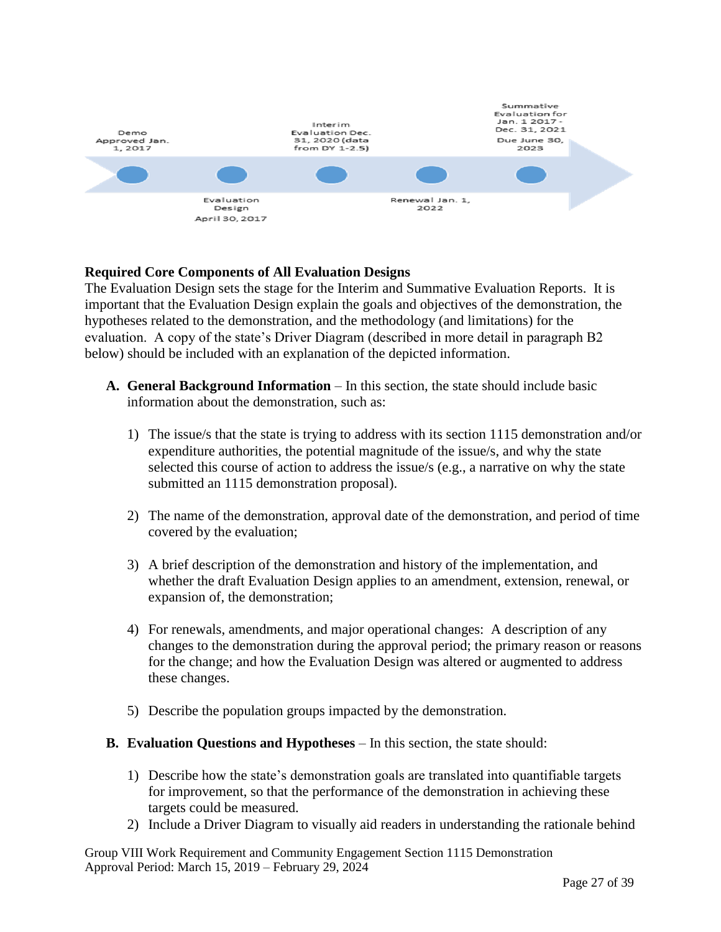

## **Required Core Components of All Evaluation Designs**

The Evaluation Design sets the stage for the Interim and Summative Evaluation Reports. It is important that the Evaluation Design explain the goals and objectives of the demonstration, the hypotheses related to the demonstration, and the methodology (and limitations) for the evaluation. A copy of the state's Driver Diagram (described in more detail in paragraph B2 below) should be included with an explanation of the depicted information.

- **A. General Background Information** In this section, the state should include basic information about the demonstration, such as:
	- 1) The issue/s that the state is trying to address with its section 1115 demonstration and/or expenditure authorities, the potential magnitude of the issue/s, and why the state selected this course of action to address the issue/s (e.g., a narrative on why the state submitted an 1115 demonstration proposal).
	- 2) The name of the demonstration, approval date of the demonstration, and period of time covered by the evaluation;
	- 3) A brief description of the demonstration and history of the implementation, and whether the draft Evaluation Design applies to an amendment, extension, renewal, or expansion of, the demonstration;
	- 4) For renewals, amendments, and major operational changes: A description of any changes to the demonstration during the approval period; the primary reason or reasons for the change; and how the Evaluation Design was altered or augmented to address these changes.
	- 5) Describe the population groups impacted by the demonstration.
- **B. Evaluation Questions and Hypotheses**  In this section, the state should:
	- 1) Describe how the state's demonstration goals are translated into quantifiable targets for improvement, so that the performance of the demonstration in achieving these targets could be measured.
	- 2) Include a Driver Diagram to visually aid readers in understanding the rationale behind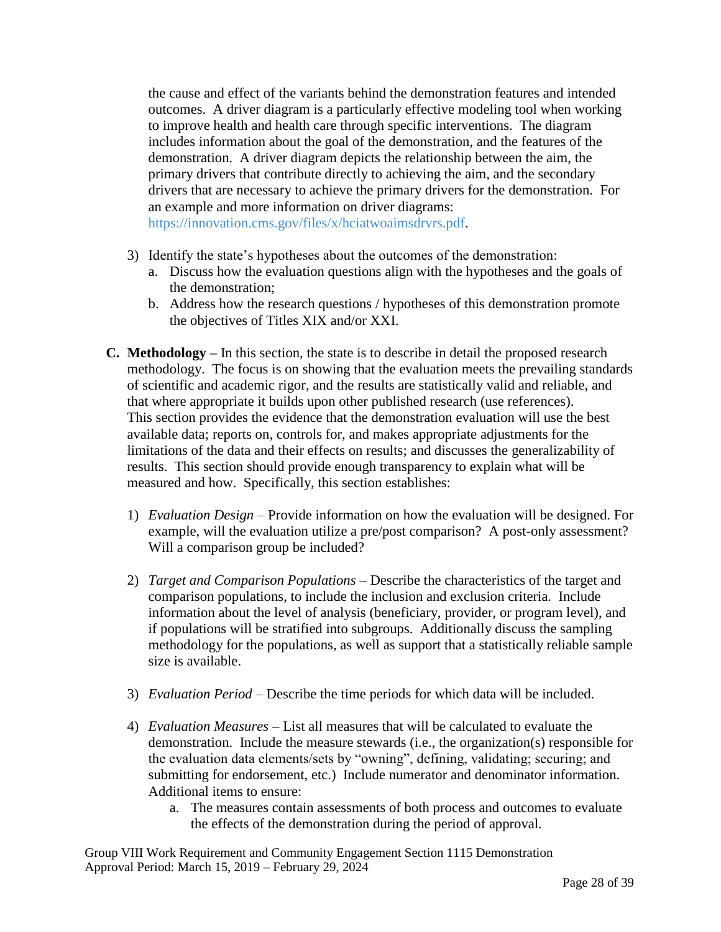the cause and effect of the variants behind the demonstration features and intended outcomes. A driver diagram is a particularly effective modeling tool when working to improve health and health care through specific interventions. The diagram includes information about the goal of the demonstration, and the features of the demonstration. A driver diagram depicts the relationship between the aim, the primary drivers that contribute directly to achieving the aim, and the secondary drivers that are necessary to achieve the primary drivers for the demonstration. For an example and more information on driver diagrams:

[https://innovation.cms.gov/files/x/hciatwoaimsdrvrs.pdf.](https://innovation.cms.gov/files/x/hciatwoaimsdrvrs.pdf)

- 3) Identify the state's hypotheses about the outcomes of the demonstration:
	- a. Discuss how the evaluation questions align with the hypotheses and the goals of the demonstration;
	- b. Address how the research questions / hypotheses of this demonstration promote the objectives of Titles XIX and/or XXI.
- **C. Methodology –** In this section, the state is to describe in detail the proposed research methodology. The focus is on showing that the evaluation meets the prevailing standards of scientific and academic rigor, and the results are statistically valid and reliable, and that where appropriate it builds upon other published research (use references). This section provides the evidence that the demonstration evaluation will use the best available data; reports on, controls for, and makes appropriate adjustments for the limitations of the data and their effects on results; and discusses the generalizability of results. This section should provide enough transparency to explain what will be measured and how. Specifically, this section establishes:
	- 1) *Evaluation Design –* Provide information on how the evaluation will be designed. For example, will the evaluation utilize a pre/post comparison? A post-only assessment? Will a comparison group be included?
	- 2) *Target and Comparison Populations* Describe the characteristics of the target and comparison populations, to include the inclusion and exclusion criteria. Include information about the level of analysis (beneficiary, provider, or program level), and if populations will be stratified into subgroups. Additionally discuss the sampling methodology for the populations, as well as support that a statistically reliable sample size is available.
	- 3) *Evaluation Period –* Describe the time periods for which data will be included.
	- 4) *Evaluation Measures –* List all measures that will be calculated to evaluate the demonstration. Include the measure stewards (i.e., the organization(s) responsible for the evaluation data elements/sets by "owning", defining, validating; securing; and submitting for endorsement, etc.) Include numerator and denominator information. Additional items to ensure:
		- a. The measures contain assessments of both process and outcomes to evaluate the effects of the demonstration during the period of approval.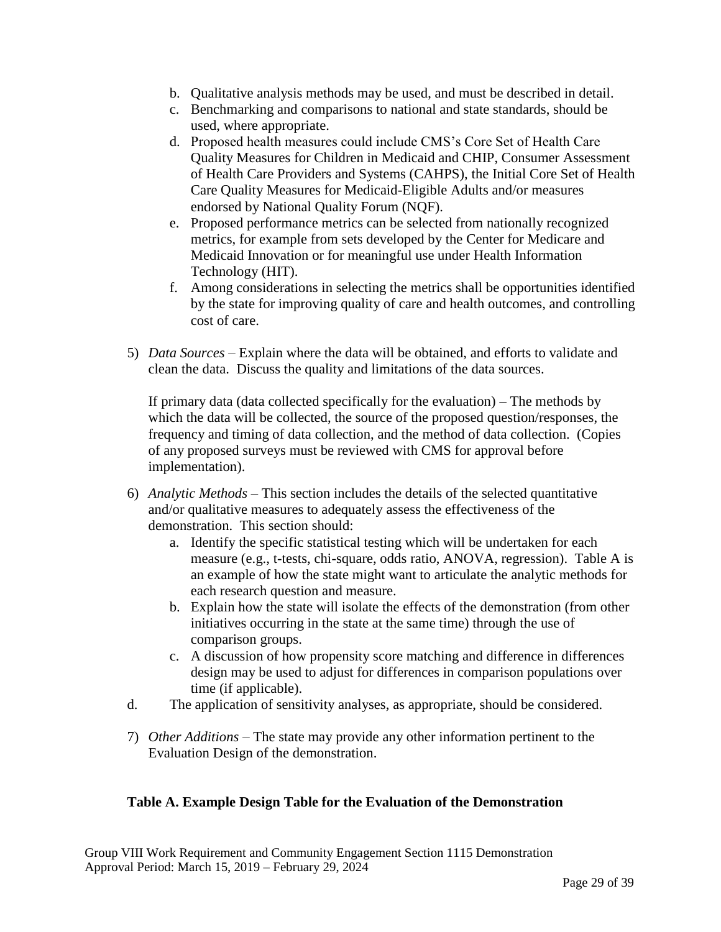- b. Qualitative analysis methods may be used, and must be described in detail.
- c. Benchmarking and comparisons to national and state standards, should be used, where appropriate.
- d. Proposed health measures could include CMS's Core Set of Health Care Quality Measures for Children in Medicaid and CHIP, Consumer Assessment of Health Care Providers and Systems (CAHPS), the Initial Core Set of Health Care Quality Measures for Medicaid-Eligible Adults and/or measures endorsed by National Quality Forum (NQF).
- e. Proposed performance metrics can be selected from nationally recognized metrics, for example from sets developed by the Center for Medicare and Medicaid Innovation or for meaningful use under Health Information Technology (HIT).
- f. Among considerations in selecting the metrics shall be opportunities identified by the state for improving quality of care and health outcomes, and controlling cost of care.
- 5) *Data Sources –* Explain where the data will be obtained, and efforts to validate and clean the data. Discuss the quality and limitations of the data sources.

If primary data (data collected specifically for the evaluation) – The methods by which the data will be collected, the source of the proposed question/responses, the frequency and timing of data collection, and the method of data collection. (Copies of any proposed surveys must be reviewed with CMS for approval before implementation).

- 6) *Analytic Methods –* This section includes the details of the selected quantitative and/or qualitative measures to adequately assess the effectiveness of the demonstration. This section should:
	- a. Identify the specific statistical testing which will be undertaken for each measure (e.g., t-tests, chi-square, odds ratio, ANOVA, regression). Table A is an example of how the state might want to articulate the analytic methods for each research question and measure.
	- b. Explain how the state will isolate the effects of the demonstration (from other initiatives occurring in the state at the same time) through the use of comparison groups.
	- c. A discussion of how propensity score matching and difference in differences design may be used to adjust for differences in comparison populations over time (if applicable).
- d. The application of sensitivity analyses, as appropriate, should be considered.
- 7) *Other Additions*  The state may provide any other information pertinent to the Evaluation Design of the demonstration.

## 1. **Table A. Example Design Table for the Evaluation of the Demonstration**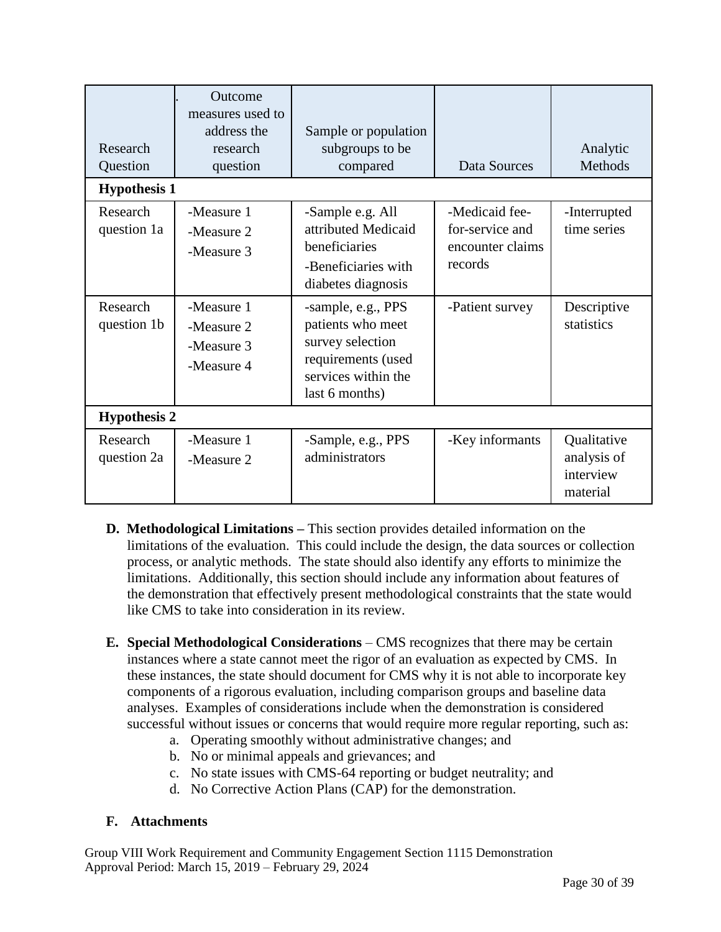| Research<br>Question    | Outcome<br>measures used to<br>address the<br>research<br>question | Sample or population<br>subgroups to be<br>compared                                                                        | Data Sources                                                     | Analytic<br>Methods                                 |  |  |  |
|-------------------------|--------------------------------------------------------------------|----------------------------------------------------------------------------------------------------------------------------|------------------------------------------------------------------|-----------------------------------------------------|--|--|--|
| <b>Hypothesis 1</b>     |                                                                    |                                                                                                                            |                                                                  |                                                     |  |  |  |
| Research<br>question 1a | -Measure 1<br>-Measure 2<br>-Measure 3                             | -Sample e.g. All<br>attributed Medicaid<br>beneficiaries<br>-Beneficiaries with<br>diabetes diagnosis                      | -Medicaid fee-<br>for-service and<br>encounter claims<br>records | -Interrupted<br>time series                         |  |  |  |
| Research<br>question 1b | -Measure 1<br>-Measure 2<br>-Measure 3<br>-Measure 4               | -sample, e.g., PPS<br>patients who meet<br>survey selection<br>requirements (used<br>services within the<br>last 6 months) | -Patient survey                                                  | Descriptive<br>statistics                           |  |  |  |
| <b>Hypothesis 2</b>     |                                                                    |                                                                                                                            |                                                                  |                                                     |  |  |  |
| Research<br>question 2a | -Measure 1<br>-Measure 2                                           | -Sample, e.g., PPS<br>administrators                                                                                       | -Key informants                                                  | Qualitative<br>analysis of<br>interview<br>material |  |  |  |

- **D. Methodological Limitations –** This section provides detailed information on the limitations of the evaluation. This could include the design, the data sources or collection process, or analytic methods. The state should also identify any efforts to minimize the limitations. Additionally, this section should include any information about features of the demonstration that effectively present methodological constraints that the state would like CMS to take into consideration in its review.
- **E. Special Methodological Considerations**  CMS recognizes that there may be certain instances where a state cannot meet the rigor of an evaluation as expected by CMS. In these instances, the state should document for CMS why it is not able to incorporate key components of a rigorous evaluation, including comparison groups and baseline data analyses. Examples of considerations include when the demonstration is considered successful without issues or concerns that would require more regular reporting, such as:
	- a. Operating smoothly without administrative changes; and
	- b. No or minimal appeals and grievances; and
	- c. No state issues with CMS-64 reporting or budget neutrality; and
	- d. No Corrective Action Plans (CAP) for the demonstration.

## **F. Attachments**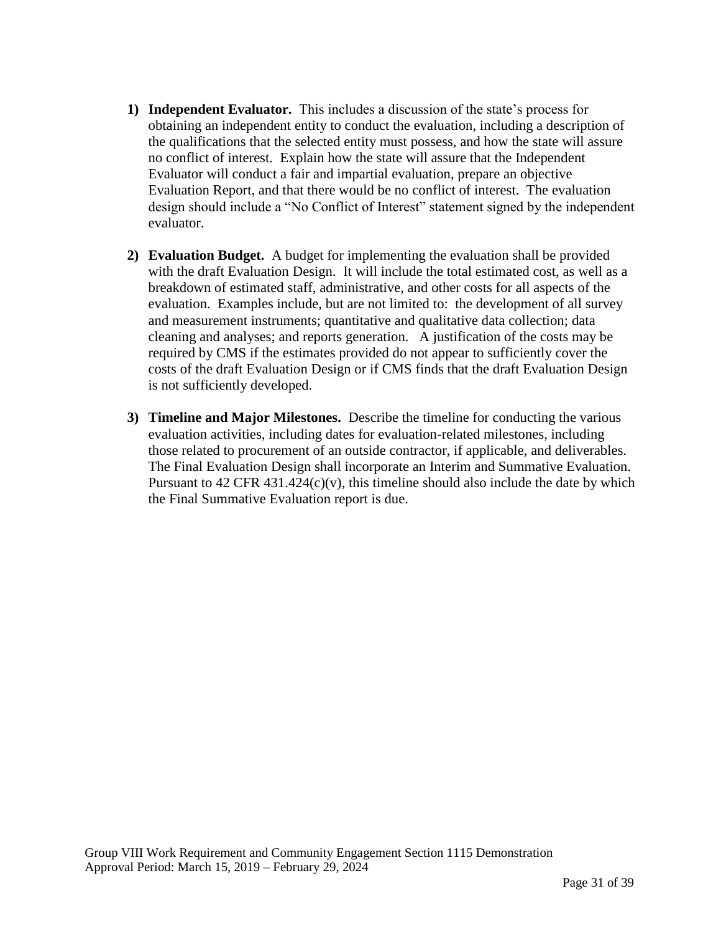- **1) Independent Evaluator.** This includes a discussion of the state's process for obtaining an independent entity to conduct the evaluation, including a description of the qualifications that the selected entity must possess, and how the state will assure no conflict of interest. Explain how the state will assure that the Independent Evaluator will conduct a fair and impartial evaluation, prepare an objective Evaluation Report, and that there would be no conflict of interest. The evaluation design should include a "No Conflict of Interest" statement signed by the independent evaluator.
- **2) Evaluation Budget.** A budget for implementing the evaluation shall be provided with the draft Evaluation Design. It will include the total estimated cost, as well as a breakdown of estimated staff, administrative, and other costs for all aspects of the evaluation. Examples include, but are not limited to: the development of all survey and measurement instruments; quantitative and qualitative data collection; data cleaning and analyses; and reports generation. A justification of the costs may be required by CMS if the estimates provided do not appear to sufficiently cover the costs of the draft Evaluation Design or if CMS finds that the draft Evaluation Design is not sufficiently developed.
- **3) Timeline and Major Milestones.** Describe the timeline for conducting the various evaluation activities, including dates for evaluation-related milestones, including those related to procurement of an outside contractor, if applicable, and deliverables. The Final Evaluation Design shall incorporate an Interim and Summative Evaluation. Pursuant to 42 CFR 431.424 $(c)(v)$ , this timeline should also include the date by which the Final Summative Evaluation report is due.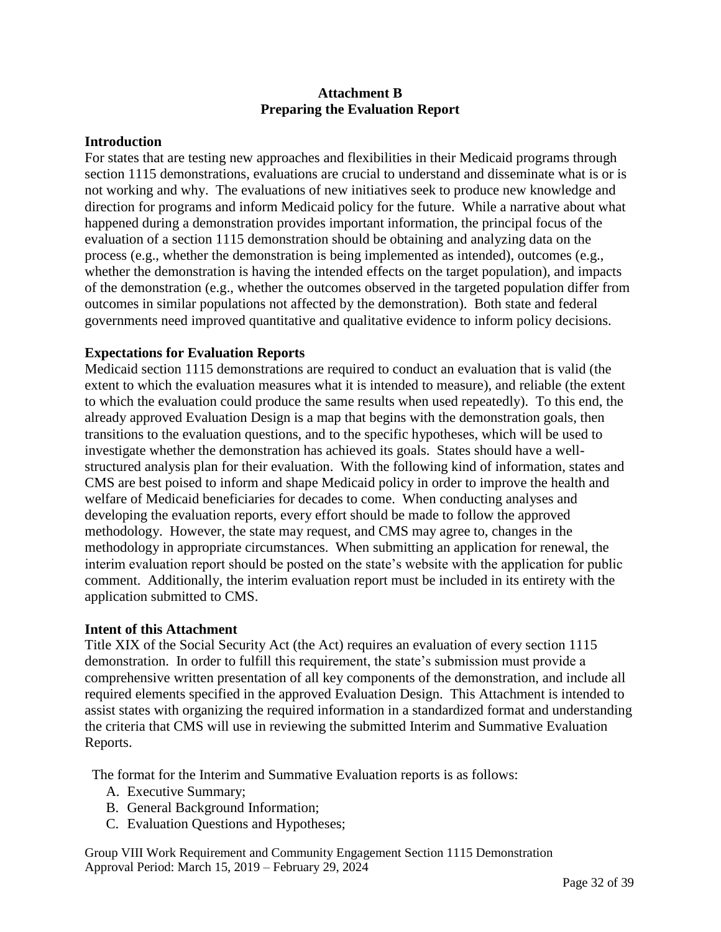#### **Attachment B Preparing the Evaluation Report**

#### **Introduction**

For states that are testing new approaches and flexibilities in their Medicaid programs through section 1115 demonstrations, evaluations are crucial to understand and disseminate what is or is not working and why. The evaluations of new initiatives seek to produce new knowledge and direction for programs and inform Medicaid policy for the future. While a narrative about what happened during a demonstration provides important information, the principal focus of the evaluation of a section 1115 demonstration should be obtaining and analyzing data on the process (e.g., whether the demonstration is being implemented as intended), outcomes (e.g., whether the demonstration is having the intended effects on the target population), and impacts of the demonstration (e.g., whether the outcomes observed in the targeted population differ from outcomes in similar populations not affected by the demonstration). Both state and federal governments need improved quantitative and qualitative evidence to inform policy decisions.

#### **Expectations for Evaluation Reports**

Medicaid section 1115 demonstrations are required to conduct an evaluation that is valid (the extent to which the evaluation measures what it is intended to measure), and reliable (the extent to which the evaluation could produce the same results when used repeatedly). To this end, the already approved Evaluation Design is a map that begins with the demonstration goals, then transitions to the evaluation questions, and to the specific hypotheses, which will be used to investigate whether the demonstration has achieved its goals. States should have a wellstructured analysis plan for their evaluation. With the following kind of information, states and CMS are best poised to inform and shape Medicaid policy in order to improve the health and welfare of Medicaid beneficiaries for decades to come. When conducting analyses and developing the evaluation reports, every effort should be made to follow the approved methodology. However, the state may request, and CMS may agree to, changes in the methodology in appropriate circumstances. When submitting an application for renewal, the interim evaluation report should be posted on the state's website with the application for public comment. Additionally, the interim evaluation report must be included in its entirety with the application submitted to CMS.

#### **Intent of this Attachment**

Title XIX of the Social Security Act (the Act) requires an evaluation of every section 1115 demonstration. In order to fulfill this requirement, the state's submission must provide a comprehensive written presentation of all key components of the demonstration, and include all required elements specified in the approved Evaluation Design. This Attachment is intended to assist states with organizing the required information in a standardized format and understanding the criteria that CMS will use in reviewing the submitted Interim and Summative Evaluation Reports.

The format for the Interim and Summative Evaluation reports is as follows:

- A. Executive Summary;
- B. General Background Information;
- C. Evaluation Questions and Hypotheses;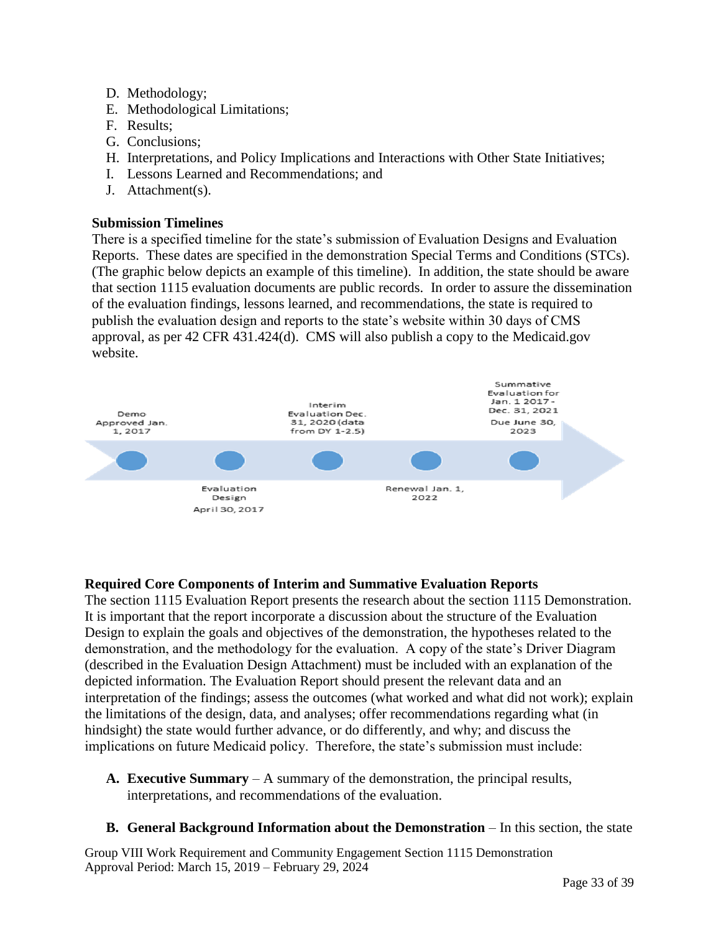- D. Methodology;
- E. Methodological Limitations;
- F. Results;
- G. Conclusions;
- H. Interpretations, and Policy Implications and Interactions with Other State Initiatives;
- I. Lessons Learned and Recommendations; and
- J. Attachment(s).

## **Submission Timelines**

There is a specified timeline for the state's submission of Evaluation Designs and Evaluation Reports. These dates are specified in the demonstration Special Terms and Conditions (STCs). (The graphic below depicts an example of this timeline). In addition, the state should be aware that section 1115 evaluation documents are public records. In order to assure the dissemination of the evaluation findings, lessons learned, and recommendations, the state is required to publish the evaluation design and reports to the state's website within 30 days of CMS approval, as per 42 CFR 431.424(d). CMS will also publish a copy to the Medicaid.gov website.



## **Required Core Components of Interim and Summative Evaluation Reports**

The section 1115 Evaluation Report presents the research about the section 1115 Demonstration. It is important that the report incorporate a discussion about the structure of the Evaluation Design to explain the goals and objectives of the demonstration, the hypotheses related to the demonstration, and the methodology for the evaluation. A copy of the state's Driver Diagram (described in the Evaluation Design Attachment) must be included with an explanation of the depicted information. The Evaluation Report should present the relevant data and an interpretation of the findings; assess the outcomes (what worked and what did not work); explain the limitations of the design, data, and analyses; offer recommendations regarding what (in hindsight) the state would further advance, or do differently, and why; and discuss the implications on future Medicaid policy. Therefore, the state's submission must include:

- **A. Executive Summary** A summary of the demonstration, the principal results, interpretations, and recommendations of the evaluation.
- **B. General Background Information about the Demonstration** In this section, the state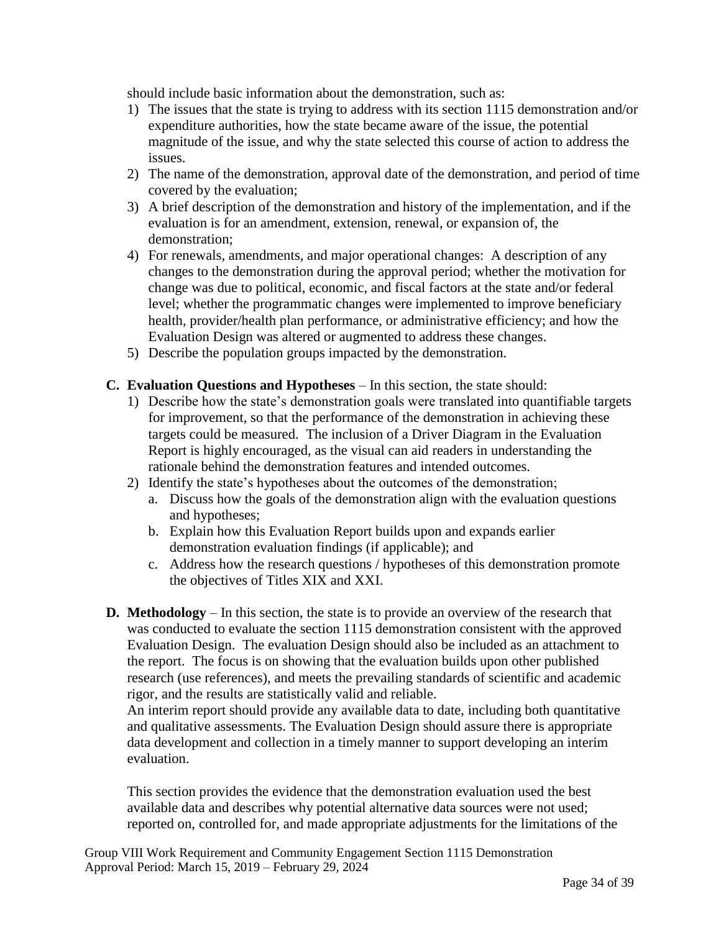should include basic information about the demonstration, such as:

- 1) The issues that the state is trying to address with its section 1115 demonstration and/or expenditure authorities, how the state became aware of the issue, the potential magnitude of the issue, and why the state selected this course of action to address the issues.
- 2) The name of the demonstration, approval date of the demonstration, and period of time covered by the evaluation;
- 3) A brief description of the demonstration and history of the implementation, and if the evaluation is for an amendment, extension, renewal, or expansion of, the demonstration;
- 4) For renewals, amendments, and major operational changes: A description of any changes to the demonstration during the approval period; whether the motivation for change was due to political, economic, and fiscal factors at the state and/or federal level; whether the programmatic changes were implemented to improve beneficiary health, provider/health plan performance, or administrative efficiency; and how the Evaluation Design was altered or augmented to address these changes.
- 5) Describe the population groups impacted by the demonstration.

#### **C. Evaluation Questions and Hypotheses** – In this section, the state should:

- 1) Describe how the state's demonstration goals were translated into quantifiable targets for improvement, so that the performance of the demonstration in achieving these targets could be measured. The inclusion of a Driver Diagram in the Evaluation Report is highly encouraged, as the visual can aid readers in understanding the rationale behind the demonstration features and intended outcomes.
- 2) Identify the state's hypotheses about the outcomes of the demonstration;
	- a. Discuss how the goals of the demonstration align with the evaluation questions and hypotheses;
	- b. Explain how this Evaluation Report builds upon and expands earlier demonstration evaluation findings (if applicable); and
	- c. Address how the research questions / hypotheses of this demonstration promote the objectives of Titles XIX and XXI.
- **D. Methodology**  In this section, the state is to provide an overview of the research that was conducted to evaluate the section 1115 demonstration consistent with the approved Evaluation Design. The evaluation Design should also be included as an attachment to the report. The focus is on showing that the evaluation builds upon other published research (use references), and meets the prevailing standards of scientific and academic rigor, and the results are statistically valid and reliable.

An interim report should provide any available data to date, including both quantitative and qualitative assessments. The Evaluation Design should assure there is appropriate data development and collection in a timely manner to support developing an interim evaluation.

This section provides the evidence that the demonstration evaluation used the best available data and describes why potential alternative data sources were not used; reported on, controlled for, and made appropriate adjustments for the limitations of the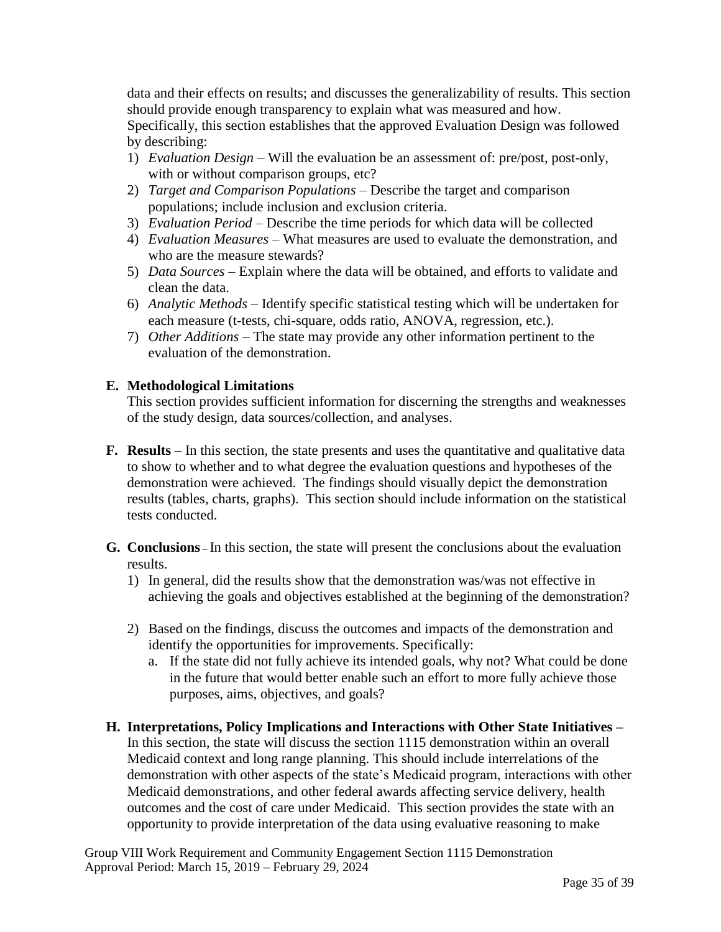data and their effects on results; and discusses the generalizability of results. This section should provide enough transparency to explain what was measured and how. Specifically, this section establishes that the approved Evaluation Design was followed by describing:

- 1) *Evaluation Design* Will the evaluation be an assessment of: pre/post, post-only, with or without comparison groups, etc?
- 2) *Target and Comparison Populations –* Describe the target and comparison populations; include inclusion and exclusion criteria.
- 3) *Evaluation Period –* Describe the time periods for which data will be collected
- 4) *Evaluation Measures* What measures are used to evaluate the demonstration, and who are the measure stewards?
- 5) *Data Sources* Explain where the data will be obtained, and efforts to validate and clean the data.
- 6) *Analytic Methods –* Identify specific statistical testing which will be undertaken for each measure (t-tests, chi-square, odds ratio, ANOVA, regression, etc.).
- 7) *Other Additions*  The state may provide any other information pertinent to the evaluation of the demonstration.

# **E. Methodological Limitations**

This section provides sufficient information for discerning the strengths and weaknesses of the study design, data sources/collection, and analyses.

- **F. Results** In this section, the state presents and uses the quantitative and qualitative data to show to whether and to what degree the evaluation questions and hypotheses of the demonstration were achieved. The findings should visually depict the demonstration results (tables, charts, graphs). This section should include information on the statistical tests conducted.
- **G. Conclusions** In this section, the state will present the conclusions about the evaluation results.
	- 1) In general, did the results show that the demonstration was/was not effective in achieving the goals and objectives established at the beginning of the demonstration?
	- 2) Based on the findings, discuss the outcomes and impacts of the demonstration and identify the opportunities for improvements. Specifically:
		- a. If the state did not fully achieve its intended goals, why not? What could be done in the future that would better enable such an effort to more fully achieve those purposes, aims, objectives, and goals?
- **H. Interpretations, Policy Implications and Interactions with Other State Initiatives –** In this section, the state will discuss the section 1115 demonstration within an overall Medicaid context and long range planning. This should include interrelations of the demonstration with other aspects of the state's Medicaid program, interactions with other Medicaid demonstrations, and other federal awards affecting service delivery, health outcomes and the cost of care under Medicaid. This section provides the state with an opportunity to provide interpretation of the data using evaluative reasoning to make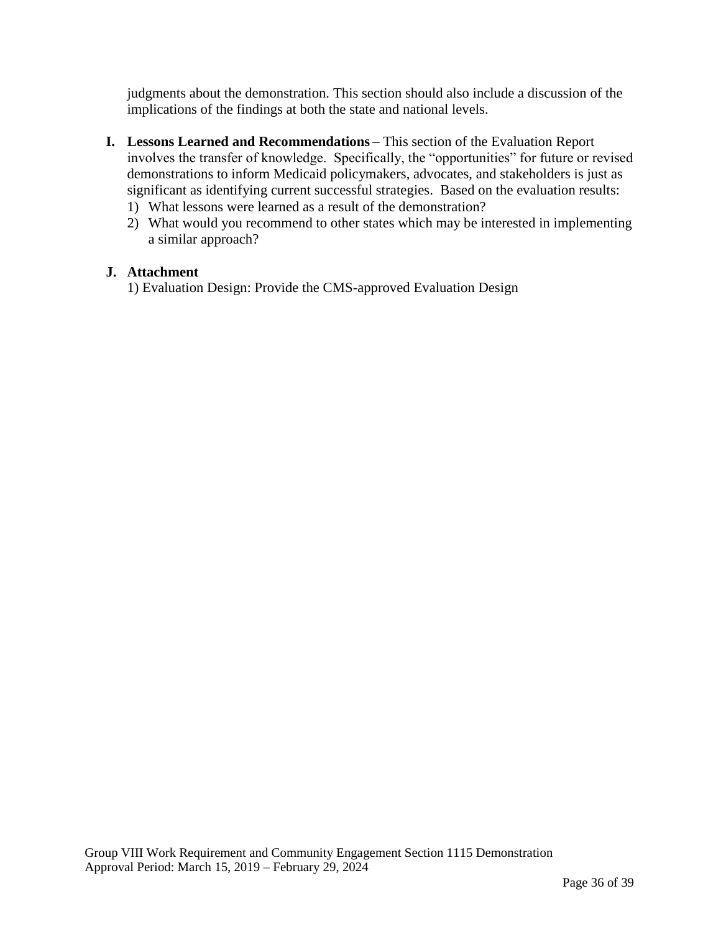judgments about the demonstration. This section should also include a discussion of the implications of the findings at both the state and national levels.

- **I. Lessons Learned and Recommendations** This section of the Evaluation Report involves the transfer of knowledge. Specifically, the "opportunities" for future or revised demonstrations to inform Medicaid policymakers, advocates, and stakeholders is just as significant as identifying current successful strategies. Based on the evaluation results:
	- 1) What lessons were learned as a result of the demonstration?
	- 2) What would you recommend to other states which may be interested in implementing a similar approach?

#### **J. Attachment**

1) Evaluation Design: Provide the CMS-approved Evaluation Design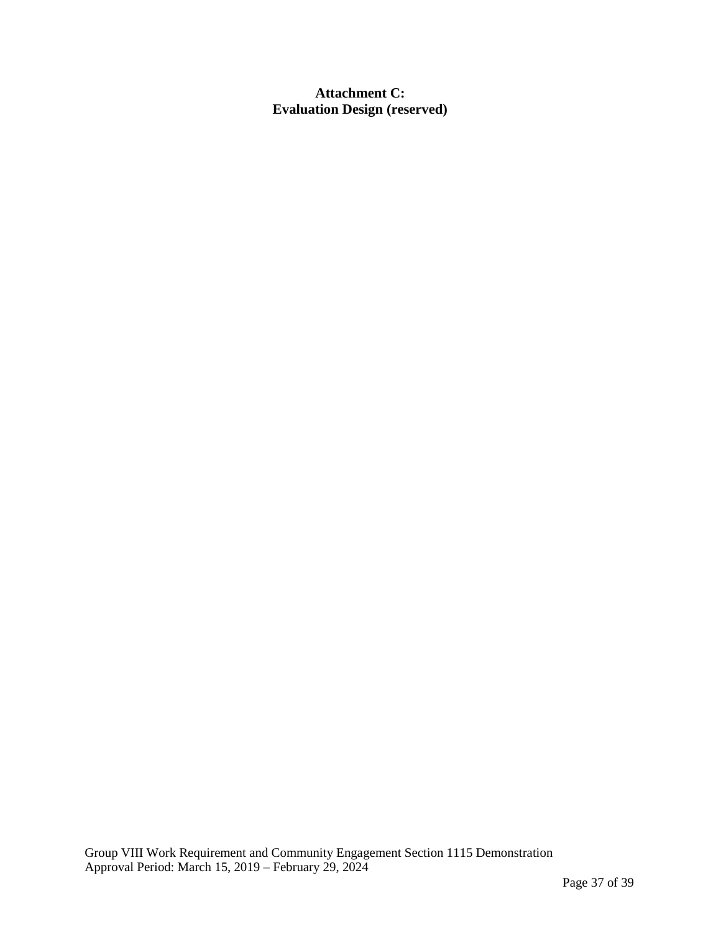**Attachment C: Evaluation Design (reserved)**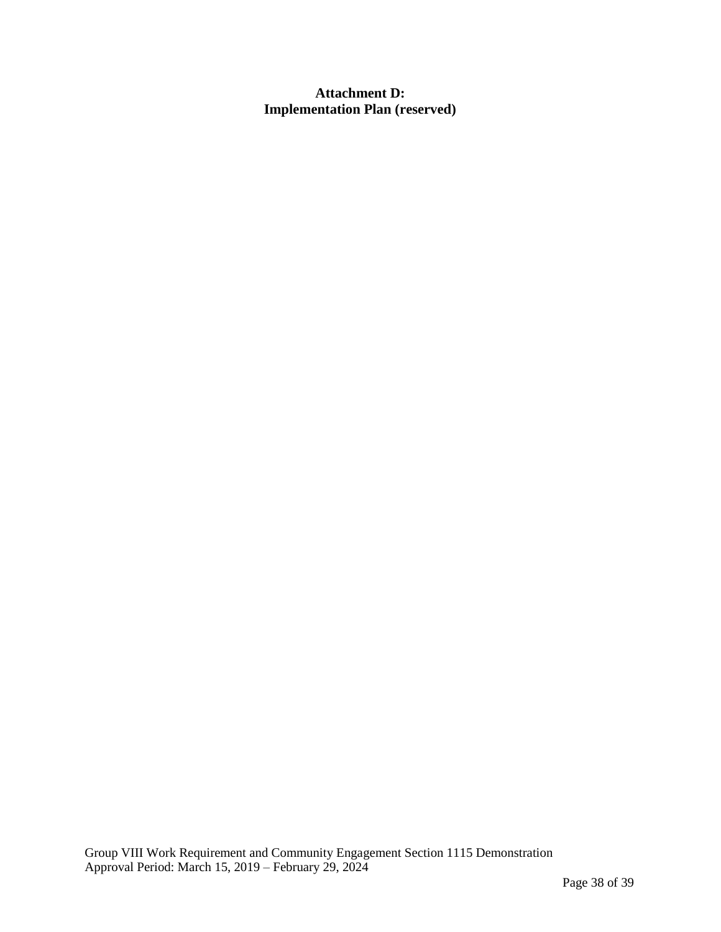**Attachment D: Implementation Plan (reserved)**